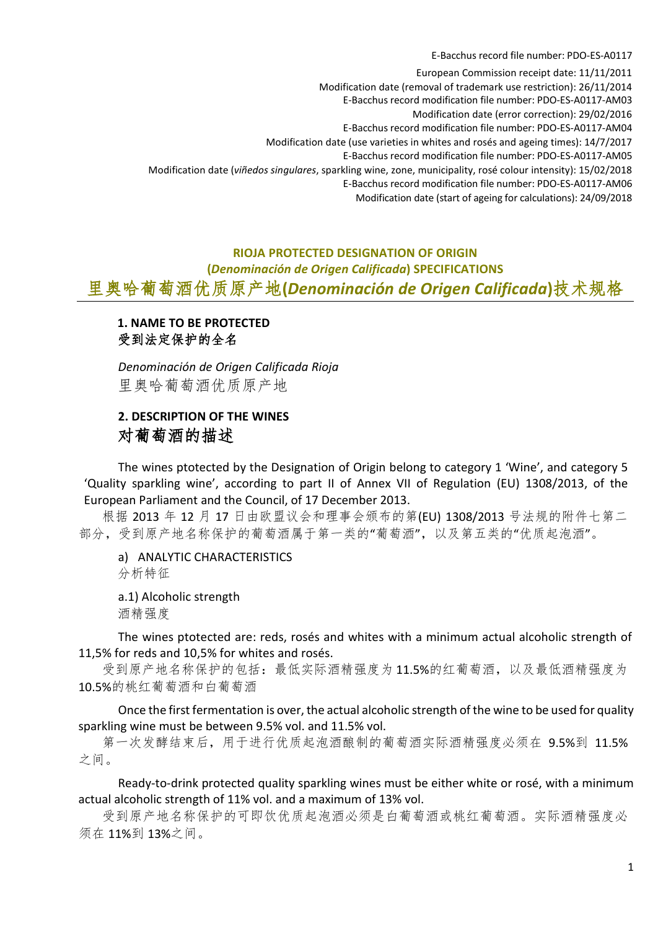E-Bacchus record file number: PDO-ES-A0117

European Commission receipt date: 11/11/2011 Modification date (removal of trademark use restriction): 26/11/2014 E-Bacchus record modification file number: PDO-ES-A0117-AM03 Modification date (error correction): 29/02/2016 E-Bacchus record modification file number: PDO-ES-A0117-AM04 Modification date (use varieties in whites and rosés and ageing times): 14/7/2017 E-Bacchus record modification file number: PDO-ES-A0117-AM05 Modification date (*viñedos singulares*, sparkling wine, zone, municipality, rosé colour intensity): 15/02/2018 E-Bacchus record modification file number: PDO-ES-A0117-AM06 Modification date (start of ageing for calculations): 24/09/2018

# **RIOJA PROTECTED DESIGNATION OF ORIGIN (***Denominación de Origen Calificada***) SPECIFICATIONS** 里奥哈葡萄酒优质原产地**(***Denominación de Origen Calificada***)**技术规格

# **1. NAME TO BE PROTECTED** 受到法定保护的全名

*Denominación de Origen Calificada Rioja* 里奥哈葡萄酒优质原产地

# **2. DESCRIPTION OF THE WINES** 对葡萄酒的描述

The wines ptotected by the Designation of Origin belong to category 1 'Wine', and category 5 'Quality sparkling wine', according to part II of Annex VII of Regulation (EU) 1308/2013, of the European Parliament and the Council, of 17 December 2013.

根据 2013 年 12 月 17 日由欧盟议会和理事会颁布的第(EU) 1308/2013 号法规的附件七第二 部分,受到原产地名称保护的葡萄酒属于第一类的"葡萄酒",以及第五类的"优质起泡酒"。

a) ANALYTIC CHARACTERISTICS 分析特征

a.1) Alcoholic strength 酒精强度

The wines ptotected are: reds, rosés and whites with a minimum actual alcoholic strength of 11,5% for reds and 10,5% for whites and rosés.

受到原产地名称保护的包括:最低实际酒精强度为11.5%的红葡萄酒,以及最低酒精强度为 10.5%的桃红葡萄酒和白葡萄酒

Once the first fermentation is over, the actual alcoholic strength of the wine to be used for quality sparkling wine must be between 9.5% vol. and 11.5% vol.

第一次发酵结束后,用于进行优质起泡酒酿制的葡萄酒实际酒精强度必须在 9.5%到 11.5% 之间。

Ready-to-drink protected quality sparkling wines must be either white or rosé, with a minimum actual alcoholic strength of 11% vol. and a maximum of 13% vol.

受到原产地名称保护的可即饮优质起泡酒必须是白葡萄酒或桃红葡萄酒。实际酒精强度必 须在 11%到 13%之间。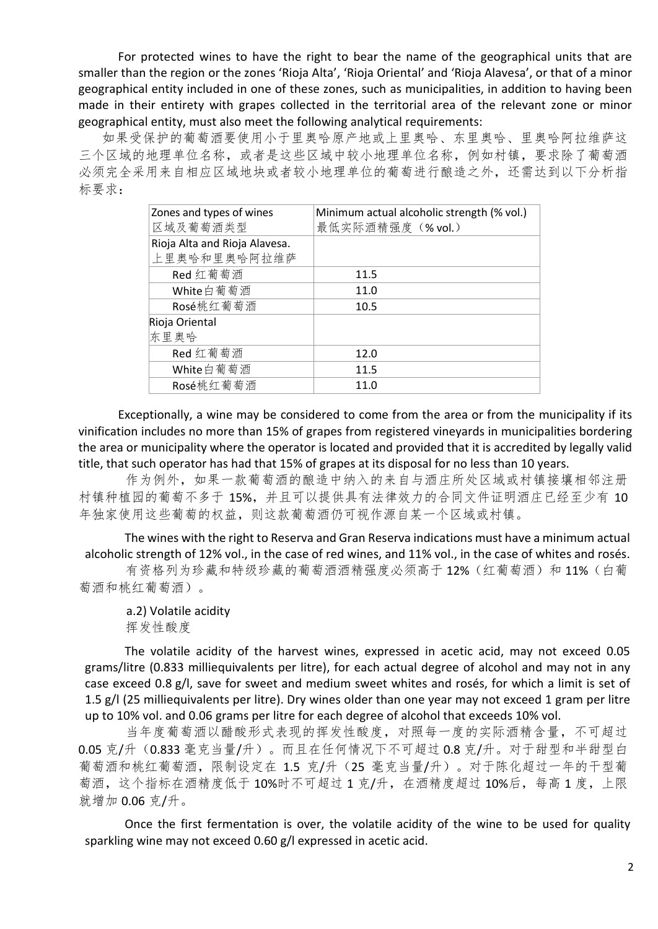For protected wines to have the right to bear the name of the geographical units that are smaller than the region or the zones 'Rioja Alta', 'Rioja Oriental' and 'Rioja Alavesa', or that of a minor geographical entity included in one of these zones, such as municipalities, in addition to having been made in their entirety with grapes collected in the territorial area of the relevant zone or minor geographical entity, must also meet the following analytical requirements:

如果受保护的葡萄酒要使用小于里奥哈原产地或上里奥哈、东里奥哈、里奥哈阿拉维萨这 三个区域的地理单位名称,或者是这些区域中较小地理单位名称,例如村镇,要求除了葡萄酒 必须完全采用来自相应区域地块或者较小地理单位的葡萄进行酿造之外,还需达到以下分析指 标要求:

| Zones and types of wines      | Minimum actual alcoholic strength (% vol.) |
|-------------------------------|--------------------------------------------|
| 区域及葡萄酒类型                      | 最低实际酒精强度 (% vol.)                          |
| Rioja Alta and Rioja Alavesa. |                                            |
| 上里奥哈和里奥哈阿拉维萨                  |                                            |
| Red 红葡萄酒                      | 11.5                                       |
| White白葡萄酒                     | 11.0                                       |
| Rosé桃红葡萄酒                     | 10.5                                       |
| Rioja Oriental                |                                            |
| 东里奥哈                          |                                            |
| Red 红葡萄酒                      | 12.0                                       |
| White白葡萄酒                     | 11.5                                       |
| Rosé桃红葡萄酒                     | 11.0                                       |

Exceptionally, a wine may be considered to come from the area or from the municipality if its vinification includes no more than 15% of grapes from registered vineyards in municipalities bordering the area or municipality where the operator is located and provided that it is accredited by legally valid title, that such operator has had that 15% of grapes at its disposal for no less than 10 years.

作为例外,如果一款葡萄酒的酿造中纳入的来自与酒庄所处区域或村镇接壤相邻注册 村镇种植园的葡萄不多于 15%,并且可以提供具有法律效力的合同文件证明酒庄已经至少有 10 年独家使用这些葡萄的权益,则这款葡萄酒仍可视作源自某一个区域或村镇。

The wines with the right to Reserva and Gran Reserva indications must have a minimum actual alcoholic strength of 12% vol., in the case of red wines, and 11% vol., in the case of whites and rosés.

有资格列为珍藏和特级珍藏的葡萄酒酒精强度必须高于 12%(红葡萄酒)和 11%(白葡 萄酒和桃红葡萄酒)。

a.2) Volatile acidity 挥发性酸度

The volatile acidity of the harvest wines, expressed in acetic acid, may not exceed 0.05 grams/litre (0.833 milliequivalents per litre), for each actual degree of alcohol and may not in any case exceed 0.8 g/l, save for sweet and medium sweet whites and rosés, for which a limit is set of 1.5 g/l (25 milliequivalents per litre). Dry wines older than one year may not exceed 1 gram per litre up to 10% vol. and 0.06 grams per litre for each degree of alcohol that exceeds 10% vol.

当年度葡萄酒以醋酸形式表现的挥发性酸度,对照每一度的实际酒精含量,不可超过 0.05 克/升(0.833 毫克当量/升)。而且在任何情况下不可超过 0.8 克/升。对于甜型和半甜型白 葡萄酒和桃红葡萄酒,限制设定在 1.5 克/升(25 毫克当量/升)。对于陈化超过一年的干型葡 萄酒,这个指标在酒精度低于 10%时不可超过 1 克/升,在酒精度超过 10%后,每高 1 度,上限 就增加 0.06 克/升。

Once the first fermentation is over, the volatile acidity of the wine to be used for quality sparkling wine may not exceed 0.60 g/l expressed in acetic acid.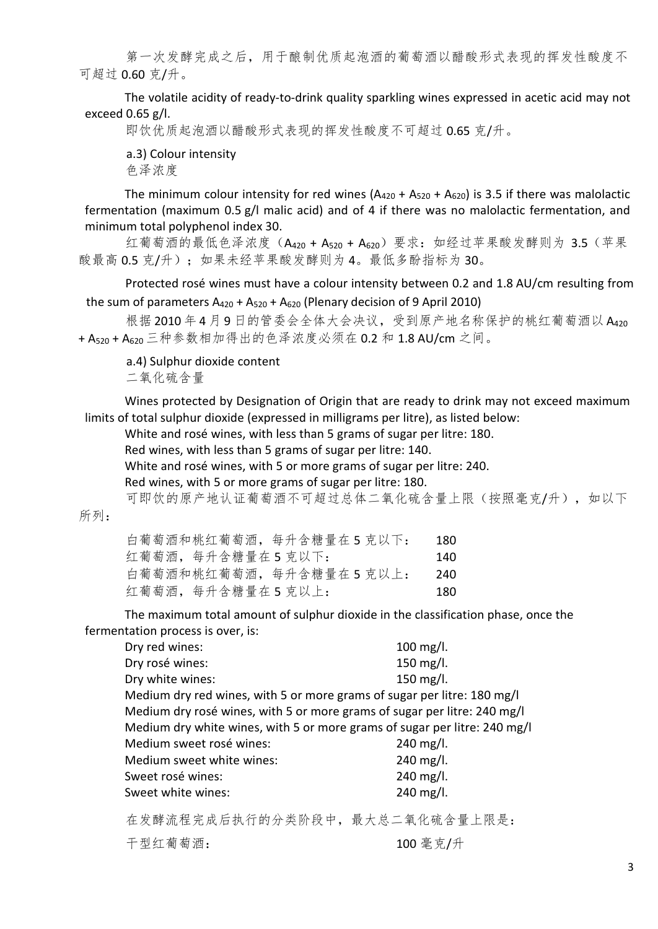第一次发酵完成之后,用于酿制优质起泡酒的葡萄酒以醋酸形式表现的挥发性酸度不 可超过 0.60 克/升。

The volatile acidity of ready-to-drink quality sparkling wines expressed in acetic acid may not exceed 0.65 g/l.

即饮优质起泡酒以醋酸形式表现的挥发性酸度不可超过 0.65 克/升。

a.3) Colour intensity

色泽浓度

The minimum colour intensity for red wines  $(A_{420} + A_{520} + A_{620})$  is 3.5 if there was malolactic fermentation (maximum 0.5 g/l malic acid) and of 4 if there was no malolactic fermentation, and minimum total polyphenol index 30.

红葡萄酒的最低色泽浓度(A420 + A520 + A620)要求: 如经过苹果酸发酵则为 3.5(苹果 酸最高 0.5 克/升); 如果未经苹果酸发酵则为 4。最低多酚指标为 30。

Protected rosé wines must have a colour intensity between 0.2 and 1.8 AU/cm resulting from the sum of parameters  $A_{420} + A_{520} + A_{620}$  (Plenary decision of 9 April 2010)

根据 2010年4月9日的管委会全体大会决议,受到原产地名称保护的桃红葡萄酒以 A420 + A520 + A620 三种参数相加得出的色泽浓度必须在 0.2 和 1.8 AU/cm 之间。

a.4) Sulphur dioxide content

二氧化硫含量

Wines protected by Designation of Origin that are ready to drink may not exceed maximum limits of total sulphur dioxide (expressed in milligrams per litre), as listed below:

White and rosé wines, with less than 5 grams of sugar per litre: 180.

Red wines, with less than 5 grams of sugar per litre: 140.

White and rosé wines, with 5 or more grams of sugar per litre: 240.

Red wines, with 5 or more grams of sugar per litre: 180.

可即饮的原产地认证葡萄酒不可超过总体二氧化硫含量上限(按照毫克/升),如以下

所列:

| 白葡萄酒和桃红葡萄酒, 每升含糖量在5克以下:   | 180 |
|---------------------------|-----|
| 红葡萄酒, 每升含糖量在5克以下:         | 140 |
| 白葡萄酒和桃红葡萄酒, 每升含糖量在 5 克以上: | 240 |
| 红葡萄酒, 每升含糖量在5克以上:         | 180 |

The maximum total amount of sulphur dioxide in the classification phase, once the fermentation process is over, is:

| Dry red wines:                                                            | 100 mg/l.    |
|---------------------------------------------------------------------------|--------------|
| Dry rosé wines:                                                           | 150 $mg/l$ . |
| Dry white wines:                                                          | 150 $mg/l$ . |
| Medium dry red wines, with 5 or more grams of sugar per litre: 180 mg/l   |              |
| Medium dry rosé wines, with 5 or more grams of sugar per litre: 240 mg/l  |              |
| Medium dry white wines, with 5 or more grams of sugar per litre: 240 mg/l |              |
| Medium sweet rosé wines:                                                  | 240 mg/l.    |
| Medium sweet white wines:                                                 | $240$ mg/l.  |
| Sweet rosé wines:                                                         | 240 mg/l.    |
| Sweet white wines:                                                        | 240 mg/l.    |
|                                                                           |              |

在发酵流程完成后执行的分类阶段中,最大总二氧化硫含量上限是:

干型红葡萄酒: 100 毫克/升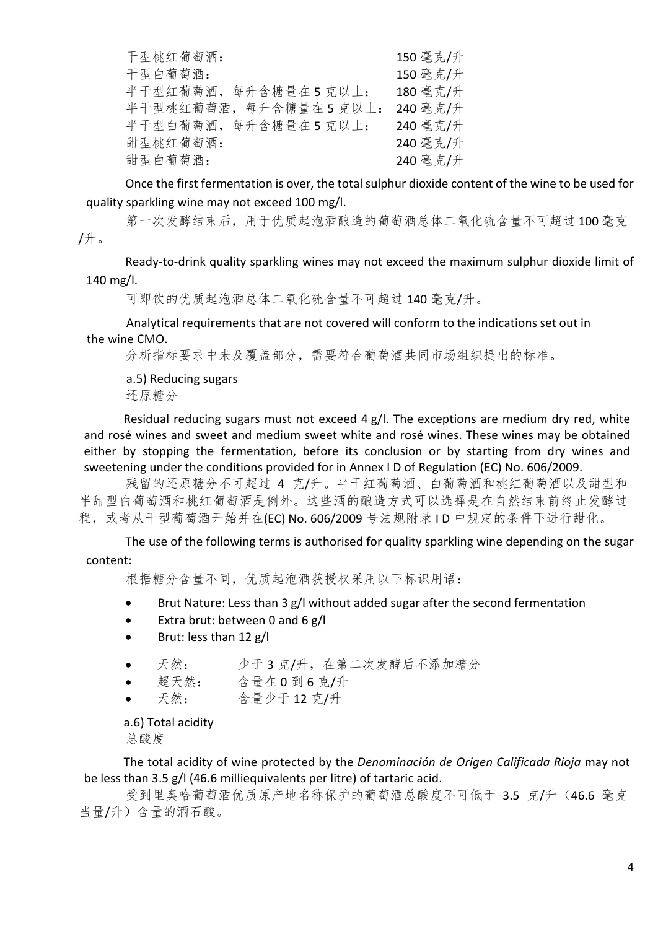| 干型桃红葡萄酒:             | 150 毫克/升 |
|----------------------|----------|
| 干型白葡萄酒:              | 150 毫克/升 |
| 半干型红葡萄酒,每升含糖量在5克以上:  | 180 毫克/升 |
| 半干型桃红葡萄酒,每升含糖量在5克以上: | 240 毫克/升 |
| 半干型白葡萄酒,每升含糖量在5克以上:  | 240 毫克/升 |
| 甜型桃红葡萄酒:             | 240 毫克/升 |
| 甜型白葡萄酒:              | 240 毫克/升 |

Once the first fermentation is over, the total sulphur dioxide content of the wine to be used for quality sparkling wine may not exceed 100 mg/l.

第一次发酵结束后,用于优质起泡酒酿造的葡萄酒总体二氧化硫含量不可超过100毫克 /升。

Ready-to-drink quality sparkling wines may not exceed the maximum sulphur dioxide limit of 140 mg/l.

可即饮的优质起泡酒总体二氧化硫含量不可超过 140 毫克/升。

Analytical requirements that are not covered will conform to the indications set out in the wine CMO.

分析指标要求中未及覆盖部分,需要符合葡萄酒共同市场组织提出的标准。

a.5) Reducing sugars 还原糖分

Residual reducing sugars must not exceed  $4 g/l$ . The exceptions are medium dry red, white and rosé wines and sweet and medium sweet white and rosé wines. These wines may be obtained either by stopping the fermentation, before its conclusion or by starting from dry wines and sweetening under the conditions provided for in Annex I D of Regulation (EC) No. 606/2009.

残留的还原糖分不可超过 4 克/升。半干红葡萄酒、白葡萄酒和桃红葡萄酒以及甜型和 半甜型白葡萄酒和桃红葡萄酒是例外。这些酒的酿造方式可以选择是在自然结束前终止发酵过 程, 或者从干型葡萄酒开始并在(EC) No. 606/2009 号法规附录 ID 中规定的条件下进行甜化。

The use of the following terms is authorised for quality sparkling wine depending on the sugar content:

根据糖分含量不同,优质起泡酒获授权采用以下标识用语:

- Brut Nature: Less than 3 g/l without added sugar after the second fermentation
- Extra brut: between 0 and 6 g/l
- Brut: less than 12 g/l
- 天然: 少于3克/升,在第二次发酵后不添加糖分
- 超天然: 含量在 0 到 6 克/升
- 天然: 含量少于 12 克/升

a.6) Total acidity 总酸度

The total acidity of wine protected by the *Denominación de Origen Calificada Rioja* may not be less than 3.5 g/l (46.6 milliequivalents per litre) of tartaric acid.

受到里奥哈葡萄酒优质原产地名称保护的葡萄酒总酸度不可低于 3.5 克/升(46.6 毫克 当量/升)含量的酒石酸。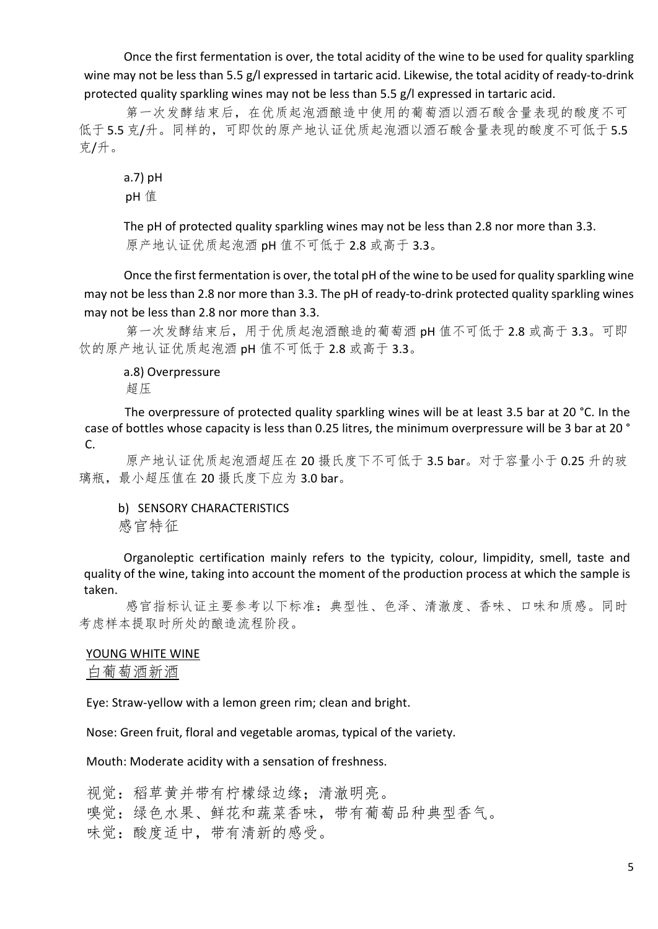Once the first fermentation is over, the total acidity of the wine to be used for quality sparkling wine may not be less than 5.5 g/l expressed in tartaric acid. Likewise, the total acidity of ready-to-drink protected quality sparkling wines may not be less than 5.5 g/l expressed in tartaric acid.

第一次发酵结束后,在优质起泡酒酿造中使用的葡萄酒以酒石酸含量表现的酸度不可 低于 5.5 克/升。同样的,可即饮的原产地认证优质起泡酒以酒石酸含量表现的酸度不可低于 5.5 克/升。

a.7) pH pH 值

The pH of protected quality sparkling wines may not be less than 2.8 nor more than 3.3. 原产地认证优质起泡酒 pH 值不可低于 2.8 或高于 3.3。

Once the first fermentation is over, the total pH of the wine to be used for quality sparkling wine may not be less than 2.8 nor more than 3.3. The pH of ready-to-drink protected quality sparkling wines may not be less than 2.8 nor more than 3.3.

第一次发酵结束后,用于优质起泡酒酿造的葡萄酒 pH 值不可低于 2.8 或高于 3.3。可即 饮的原产地认证优质起泡酒 pH 值不可低于 2.8 或高于 3.3。

a.8) Overpressure 超压

The overpressure of protected quality sparkling wines will be at least 3.5 bar at 20 °C. In the case of bottles whose capacity is less than 0.25 litres, the minimum overpressure will be 3 bar at 20 ° C.

原产地认证优质起泡酒超压在 20 摄氏度下不可低于 3.5 bar。对于容量小于 0.25 升的玻 璃瓶, 最小超压值在 20 摄氏度下应为 3.0 bar。

b) SENSORY CHARACTERISTICS 感官特征

Organoleptic certification mainly refers to the typicity, colour, limpidity, smell, taste and quality of the wine, taking into account the moment of the production process at which the sample is taken.

感官指标认证主要参考以下标准:典型性、色泽、清澈度、香味、口味和质感。同时 考虑样本提取时所处的酿造流程阶段。

### YOUNG WHITE WINE

白葡萄酒新酒

Eye: Straw-yellow with a lemon green rim; clean and bright.

Nose: Green fruit, floral and vegetable aromas, typical of the variety.

Mouth: Moderate acidity with a sensation of freshness.

视觉:稻草黄并带有柠檬绿边缘:清澈明亮。 嗅觉:绿色水果、鲜花和蔬菜香味,带有葡萄品种典型香气。 味觉:酸度适中,带有清新的感受。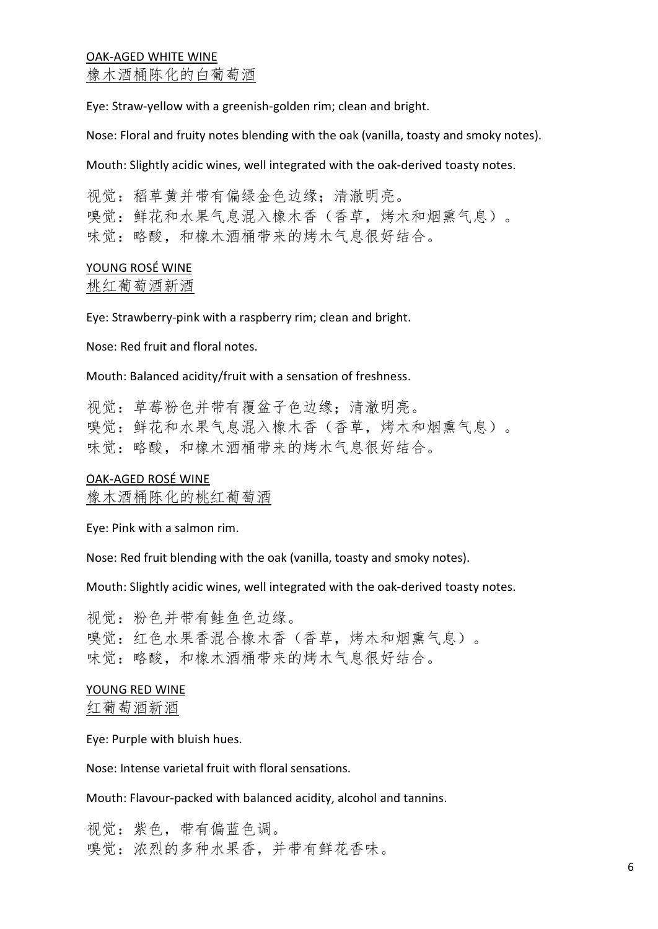## OAK-AGED WHITE WINE 橡木酒桶陈化的白葡萄酒

Eye: Straw-yellow with a greenish-golden rim; clean and bright.

Nose: Floral and fruity notes blending with the oak (vanilla, toasty and smoky notes).

Mouth: Slightly acidic wines, well integrated with the oak-derived toasty notes.

视觉:稻草黄并带有偏绿金色边缘:清澈明亮。 嗅觉:鲜花和水果气息混入橡木香(香草,烤木和烟熏气息)。 味觉:略酸,和橡木酒桶带来的烤木气息很好结合。

# YOUNG ROSÉ WINE

桃红葡萄酒新酒

Eye: Strawberry-pink with a raspberry rim; clean and bright.

Nose: Red fruit and floral notes.

Mouth: Balanced acidity/fruit with a sensation of freshness.

视觉: 草莓粉色并带有覆盆子色边缘: 清澈明亮。 嗅觉: 鲜花和水果气息混入橡木香(香草, 烤木和烟熏气息)。 味觉:略酸,和橡木酒桶带来的烤木气息很好结合。

### OAK-AGED ROSÉ WINE

橡木酒桶陈化的桃红葡萄酒

Eye: Pink with a salmon rim.

Nose: Red fruit blending with the oak (vanilla, toasty and smoky notes).

Mouth: Slightly acidic wines, well integrated with the oak-derived toasty notes.

视觉:粉色并带有鲑鱼色边缘。 嗅觉:红色水果香混合橡木香(香草,烤木和烟熏气息)。 味觉:略酸,和橡木酒桶带来的烤木气息很好结合。

### YOUNG RED WINE

红葡萄酒新酒

Eye: Purple with bluish hues.

Nose: Intense varietal fruit with floral sensations.

Mouth: Flavour-packed with balanced acidity, alcohol and tannins.

视觉: 紫色, 带有偏蓝色调。 嗅觉:浓烈的多种水果香,并带有鲜花香味。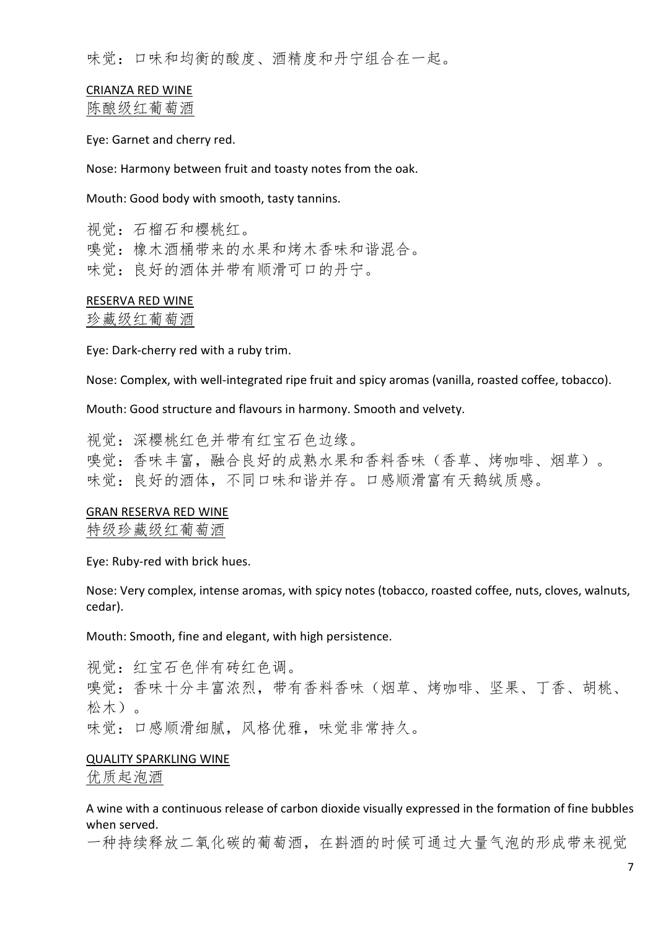味觉:口味和均衡的酸度、酒精度和丹宁组合在一起。

# CRIANZA RED WINE

陈酿级红葡萄酒

Eye: Garnet and cherry red.

Nose: Harmony between fruit and toasty notes from the oak.

Mouth: Good body with smooth, tasty tannins.

视觉:石榴石和樱桃红。 嗅觉:橡木酒桶带来的水果和烤木香味和谐混合。 味觉: 良好的酒体并带有顺滑可口的丹宁。

#### RESERVA RED WINE

#### 珍藏级红葡萄酒

Eye: Dark-cherry red with a ruby trim.

Nose: Complex, with well-integrated ripe fruit and spicy aromas (vanilla, roasted coffee, tobacco).

Mouth: Good structure and flavours in harmony. Smooth and velvety.

视觉:深樱桃红色并带有红宝石色边缘。 嗅觉:香味丰富,融合良好的成熟水果和香料香味(香草、烤咖啡、烟草)。 味觉:良好的酒体,不同口味和谐并存。口感顺滑富有天鹅绒质感。

#### GRAN RESERVA RED WINE

特级珍藏级红葡萄酒

Eye: Ruby-red with brick hues.

Nose: Very complex, intense aromas, with spicy notes (tobacco, roasted coffee, nuts, cloves, walnuts, cedar).

Mouth: Smooth, fine and elegant, with high persistence.

视觉:红宝石色伴有砖红色调。 嗅觉:香味十分丰富浓烈,带有香料香味(烟草、烤咖啡、坚果、丁香、胡桃、 松木)。 味觉:口感顺滑细腻,风格优雅,味觉非常持久。

#### QUALITY SPARKLING WINE

优质起泡酒

A wine with a continuous release of carbon dioxide visually expressed in the formation of fine bubbles when served.

一种持续释放二氧化碳的葡萄酒,在斟酒的时候可通过大量气泡的形成带来视觉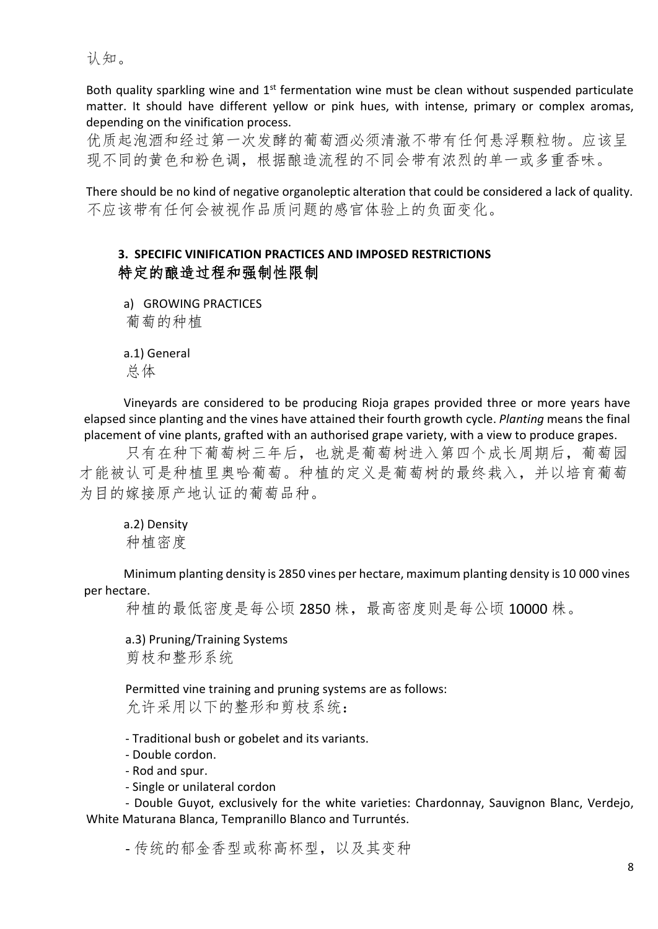认知。

Both quality sparkling wine and 1<sup>st</sup> fermentation wine must be clean without suspended particulate matter. It should have different yellow or pink hues, with intense, primary or complex aromas, depending on the vinification process.

优质起泡酒和经过第一次发酵的葡萄酒必须清澈不带有任何悬浮颗粒物。应该呈 现不同的黄色和粉色调,根据酿造流程的不同会带有浓烈的单一或多重香味。

There should be no kind of negative organoleptic alteration that could be considered a lack of quality. 不应该带有任何会被视作品质问题的感官体验上的负面变化。

# **3. SPECIFIC VINIFICATION PRACTICES AND IMPOSED RESTRICTIONS** 特定的酿造过程和强制性限制

a) GROWING PRACTICES 葡萄的种植

a.1) General 总体

Vineyards are considered to be producing Rioja grapes provided three or more years have elapsed since planting and the vines have attained their fourth growth cycle. *Planting* means the final placement of vine plants, grafted with an authorised grape variety, with a view to produce grapes.

只有在种下葡萄树三年后,也就是葡萄树进入第四个成长周期后,葡萄园 才能被认可是种植里奥哈葡萄。种植的定义是葡萄树的最终栽入,并以培育葡萄 为目的嫁接原产地认证的葡萄品种。

# a.2) Density 种植密度

Minimum planting density is 2850 vines per hectare, maximum planting density is 10 000 vines per hectare.

种植的最低密度是每公顷 2850 株,最高密度则是每公顷 10000 株。

a.3) Pruning/Training Systems 剪枝和整形系统

Permitted vine training and pruning systems are as follows: 允许采用以下的整形和剪枝系统:

- Traditional bush or gobelet and its variants.
- Double cordon.
- Rod and spur.
- Single or unilateral cordon

- Double Guyot, exclusively for the white varieties: Chardonnay, Sauvignon Blanc, Verdejo, White Maturana Blanca, Tempranillo Blanco and Turruntés.

- 传统的郁金香型或称高杯型,以及其变种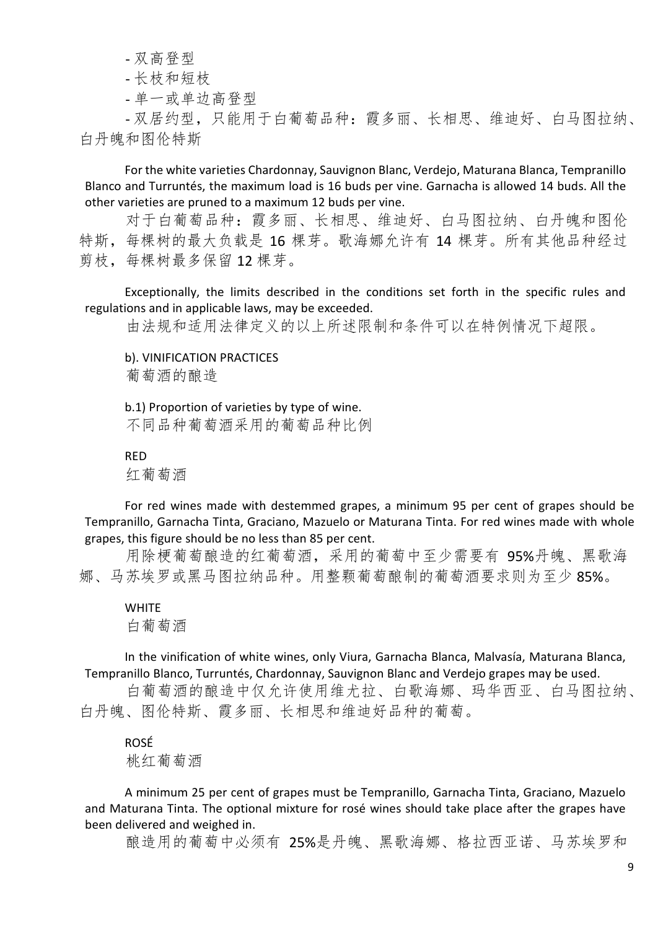- 双高登型

#### - 长枝和短枝

- 单一或单边高登型

- 双居约型,只能用于白葡萄品种:霞多丽、长相思、维迪好、白马图拉纳、 白丹魄和图伦特斯

For the white varieties Chardonnay, Sauvignon Blanc, Verdejo, Maturana Blanca, Tempranillo Blanco and Turruntés, the maximum load is 16 buds per vine. Garnacha is allowed 14 buds. All the other varieties are pruned to a maximum 12 buds per vine.

对于白葡萄品种:霞多丽、长相思、维迪好、白马图拉纳、白丹魄和图伦 特斯,每棵树的最大负载是 16 棵芽。歌海娜允许有 14 棵芽。所有其他品种经过 剪枝,每棵树最多保留 12 棵芽。

Exceptionally, the limits described in the conditions set forth in the specific rules and regulations and in applicable laws, may be exceeded.

由法规和适用法律定义的以上所述限制和条件可以在特例情况下超限。

b). VINIFICATION PRACTICES

葡萄酒的酿造

b.1) Proportion of varieties by type of wine.

不同品种葡萄酒采用的葡萄品种比例

RED

红葡萄酒

For red wines made with destemmed grapes, a minimum 95 per cent of grapes should be Tempranillo, Garnacha Tinta, Graciano, Mazuelo or Maturana Tinta. For red wines made with whole grapes, this figure should be no less than 85 per cent.

用除梗葡萄酿造的红葡萄酒,采用的葡萄中至少需要有 95%丹魄、黑歌海 娜、马苏埃罗或黑马图拉纳品种。用整颗葡萄酿制的葡萄酒要求则为至少 85%。

**WHITE** 白葡萄酒

In the vinification of white wines, only Viura, Garnacha Blanca, Malvasía, Maturana Blanca, Tempranillo Blanco, Turruntés, Chardonnay, Sauvignon Blanc and Verdejo grapes may be used.

白葡萄酒的酿造中仅允许使用维尤拉、白歌海娜、玛华西亚、白马图拉纳、 白丹魄、图伦特斯、霞多丽、长相思和维迪好品种的葡萄。

ROSÉ

桃红葡萄酒

A minimum 25 per cent of grapes must be Tempranillo, Garnacha Tinta, Graciano, Mazuelo and Maturana Tinta. The optional mixture for rosé wines should take place after the grapes have been delivered and weighed in.

酿造用的葡萄中必须有 25%是丹魄、黑歌海娜、格拉西亚诺、马苏埃罗和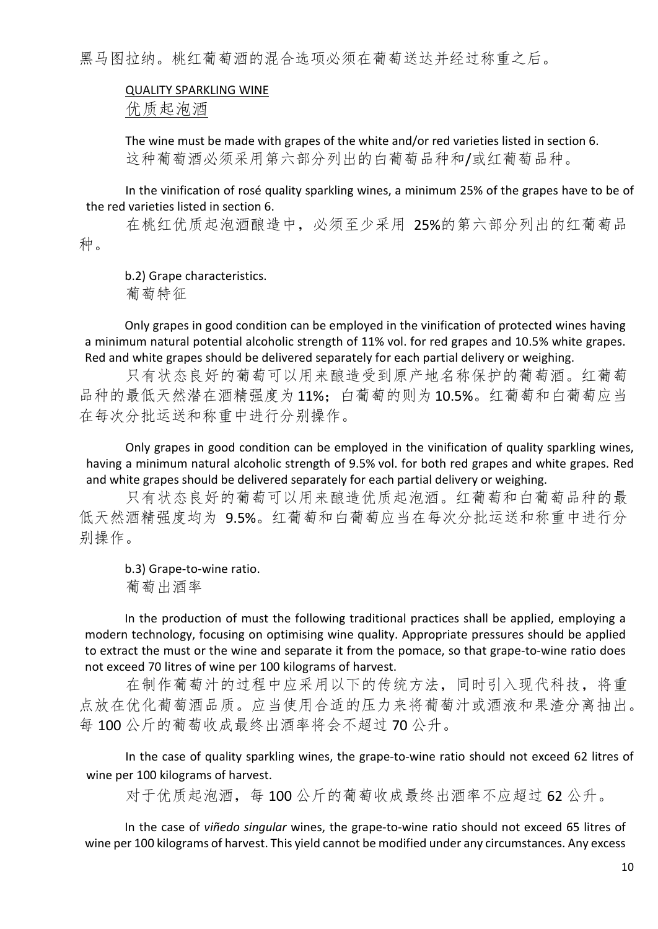黑马图拉纳。桃红葡萄酒的混合选项必须在葡萄送达并经过称重之后。

#### QUALITY SPARKLING WINE

优质起泡酒

The wine must be made with grapes of the white and/or red varieties listed in section 6. 这种葡萄酒必须采用第六部分列出的白葡萄品种和/或红葡萄品种。

In the vinification of rosé quality sparkling wines, a minimum 25% of the grapes have to be of the red varieties listed in section 6.

在桃红优质起泡酒酿造中,必须至少采用 25%的第六部分列出的红葡萄品 种。

b.2) Grape characteristics.

葡萄特征

Only grapes in good condition can be employed in the vinification of protected wines having a minimum natural potential alcoholic strength of 11% vol. for red grapes and 10.5% white grapes. Red and white grapes should be delivered separately for each partial delivery or weighing.

只有状态良好的葡萄可以用来酿造受到原产地名称保护的葡萄酒。红葡萄 品种的最低天然潜在酒精强度为11%;白葡萄的则为10.5%。红葡萄和白葡萄应当 在每次分批运送和称重中进行分别操作。

Only grapes in good condition can be employed in the vinification of quality sparkling wines, having a minimum natural alcoholic strength of 9.5% vol. for both red grapes and white grapes. Red and white grapes should be delivered separately for each partial delivery or weighing.

只有状态良好的葡萄可以用来酿造优质起泡酒。红葡萄和白葡萄品种的最 低天然酒精强度均为 9.5%。红葡萄和白葡萄应当在每次分批运送和称重中进行分 别操作。

b.3) Grape-to-wine ratio. 葡萄出酒率

In the production of must the following traditional practices shall be applied, employing a modern technology, focusing on optimising wine quality. Appropriate pressures should be applied to extract the must or the wine and separate it from the pomace, so that grape-to-wine ratio does not exceed 70 litres of wine per 100 kilograms of harvest.

在制作葡萄汁的过程中应采用以下的传统方法,同时引入现代科技,将重 点放在优化葡萄酒品质。应当使用合适的压力来将葡萄汁或酒液和果渣分离抽出。 每 100 公斤的葡萄收成最终出酒率将会不超过 70 公升。

In the case of quality sparkling wines, the grape-to-wine ratio should not exceed 62 litres of wine per 100 kilograms of harvest.

对于优质起泡酒,每 100 公斤的葡萄收成最终出酒率不应超过 62 公升。

In the case of *viñedo singular* wines, the grape-to-wine ratio should not exceed 65 litres of wine per 100 kilograms of harvest. This yield cannot be modified under any circumstances. Any excess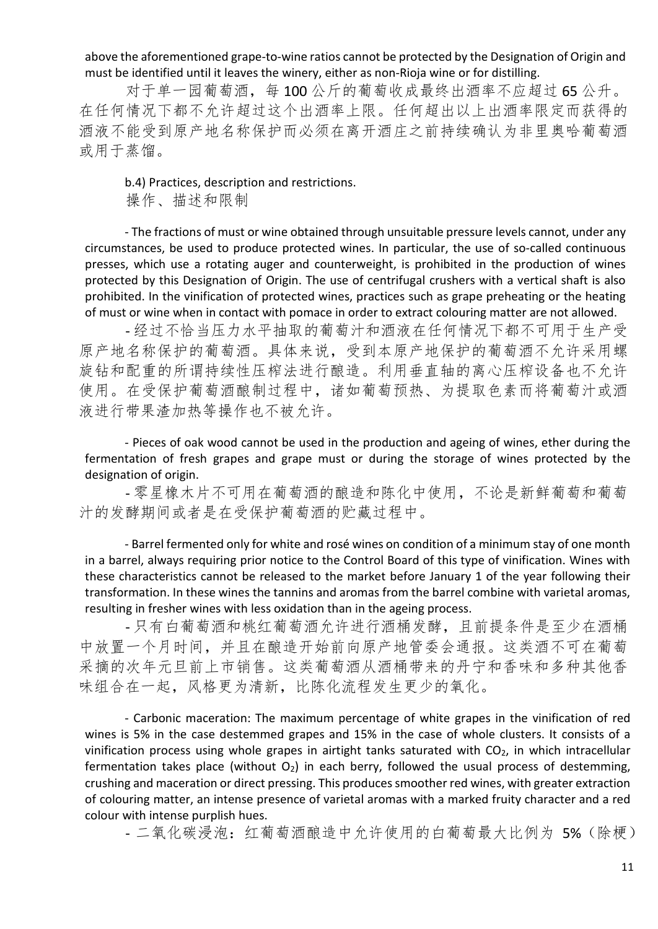above the aforementioned grape-to-wine ratios cannot be protected by the Designation of Origin and must be identified until it leaves the winery, either as non-Rioja wine or for distilling.

对于单一园葡萄酒,每100公斤的葡萄收成最终出酒率不应超过65公升。 在任何情况下都不允许超过这个出酒率上限。任何超出以上出酒率限定而获得的 酒液不能受到原产地名称保护而必须在离开酒庄之前持续确认为非里奥哈葡萄酒 或用于蒸馏。

b.4) Practices, description and restrictions.

操作、描述和限制

- The fractions of must or wine obtained through unsuitable pressure levels cannot, under any circumstances, be used to produce protected wines. In particular, the use of so-called continuous presses, which use a rotating auger and counterweight, is prohibited in the production of wines protected by this Designation of Origin. The use of centrifugal crushers with a vertical shaft is also prohibited. In the vinification of protected wines, practices such as grape preheating or the heating of must or wine when in contact with pomace in order to extract colouring matter are not allowed.

- 经过不恰当压力水平抽取的葡萄汁和酒液在任何情况下都不可用于生产受 原产地名称保护的葡萄酒。具体来说,受到本原产地保护的葡萄酒不允许采用螺 旋钻和配重的所谓持续性压榨法进行酿造。利用垂直轴的离心压榨设备也不允许 使用。在受保护葡萄酒酿制过程中,诸如葡萄预热、为提取色素而将葡萄汁或酒 液进行带果渣加热等操作也不被允许。

- Pieces of oak wood cannot be used in the production and ageing of wines, ether during the fermentation of fresh grapes and grape must or during the storage of wines protected by the designation of origin.

- 零星橡木片不可用在葡萄酒的酿造和陈化中使用,不论是新鲜葡萄和葡萄 汁的发酵期间或者是在受保护葡萄酒的贮藏过程中。

- Barrel fermented only for white and rosé wines on condition of a minimum stay of one month in a barrel, always requiring prior notice to the Control Board of this type of vinification. Wines with these characteristics cannot be released to the market before January 1 of the year following their transformation. In these wines the tannins and aromas from the barrel combine with varietal aromas, resulting in fresher wines with less oxidation than in the ageing process.

- 只有白葡萄酒和桃红葡萄酒允许进行酒桶发酵,且前提条件是至少在酒桶 中放置一个月时间,并且在酿造开始前向原产地管委会通报。这类酒不可在葡萄 采摘的次年元旦前上市销售。这类葡萄酒从酒桶带来的丹宁和香味和多种其他香 味组合在一起,风格更为清新,比陈化流程发生更少的氧化。

- Carbonic maceration: The maximum percentage of white grapes in the vinification of red wines is 5% in the case destemmed grapes and 15% in the case of whole clusters. It consists of a vinification process using whole grapes in airtight tanks saturated with  $CO<sub>2</sub>$ , in which intracellular fermentation takes place (without  $O_2$ ) in each berry, followed the usual process of destemming, crushing and maceration or direct pressing. This produces smoother red wines, with greater extraction of colouring matter, an intense presence of varietal aromas with a marked fruity character and a red colour with intense purplish hues.

- 二氧化碳浸泡: 红葡萄酒酿造中允许使用的白葡萄最大比例为 5%(除梗)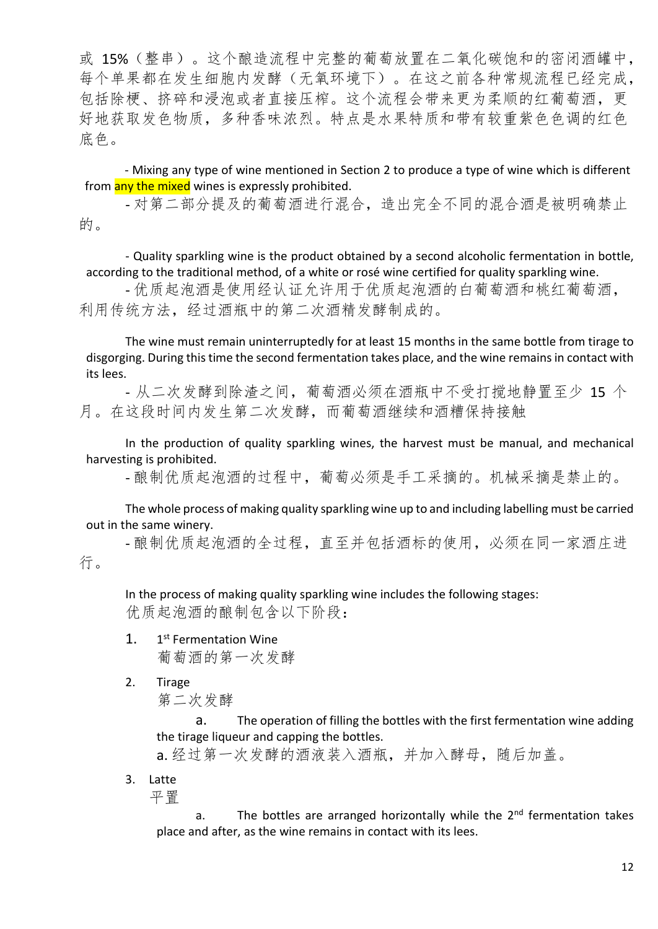或 15%(整串)。这个酿造流程中完整的葡萄放置在二氧化碳饱和的密闭酒罐中, 每个单果都在发生细胞内发酵(无氧环境下)。在这之前各种常规流程已经完成, 包括除梗、挤碎和浸泡或者直接压榨。这个流程会带来更为柔顺的红葡萄酒,更 好地获取发色物质,多种香味浓烈。特点是水果特质和带有较重紫色色调的红色 底色。

- Mixing any type of wine mentioned in Section 2 to produce a type of wine which is different from any the mixed wines is expressly prohibited.

- 对第二部分提及的葡萄酒进行混合,造出完全不同的混合酒是被明确禁止 的。

- Quality sparkling wine is the product obtained by a second alcoholic fermentation in bottle, according to the traditional method, of a white or rosé wine certified for quality sparkling wine.

- 优质起泡酒是使用经认证允许用于优质起泡酒的白葡萄酒和桃红葡萄酒, 利用传统方法,经过酒瓶中的第二次酒精发酵制成的。

The wine must remain uninterruptedly for at least 15 months in the same bottle from tirage to disgorging. During this time the second fermentation takes place, and the wine remains in contact with its lees.

- 从二次发酵到除渣之间,葡萄酒必须在酒瓶中不受打搅地静置至少 15 个 月。在这段时间内发生第二次发酵,而葡萄酒继续和酒糟保持接触

In the production of quality sparkling wines, the harvest must be manual, and mechanical harvesting is prohibited.

- 酿制优质起泡酒的过程中,葡萄必须是手工采摘的。机械采摘是禁止的。

The whole process of making quality sparkling wine up to and including labelling must be carried out in the same winery.

- 酿制优质起泡酒的全过程,直至并包括酒标的使用,必须在同一家酒庄进 行。

In the process of making quality sparkling wine includes the following stages: 优质起泡酒的酿制包含以下阶段:

- 1. 1<sup>st</sup> Fermentation Wine 葡萄酒的第一次发酵
- 2. Tirage

第二次发酵

a. The operation of filling the bottles with the first fermentation wine adding the tirage liqueur and capping the bottles.

a. 经过第一次发酵的酒液装入酒瓶,并加入酵母, 随后加盖。

3. Latte

平置

a. The bottles are arranged horizontally while the  $2<sup>nd</sup>$  fermentation takes place and after, as the wine remains in contact with its lees.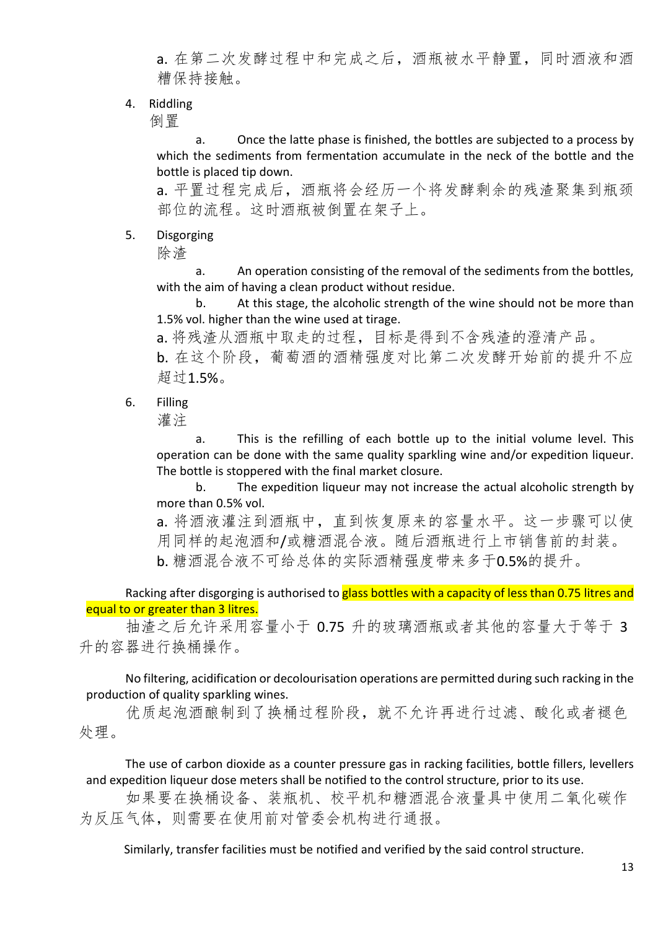a. 在第二次发酵过程中和完成之后,酒瓶被水平静置,同时酒液和酒 糟保持接触。

4. Riddling

倒置

a. Once the latte phase is finished, the bottles are subjected to a process by which the sediments from fermentation accumulate in the neck of the bottle and the bottle is placed tip down.

a. 平置过程完成后,酒瓶将会经历一个将发酵剩余的残渣聚集到瓶颈 部位的流程。这时酒瓶被倒置在架子上。

5. Disgorging

除渣

a. An operation consisting of the removal of the sediments from the bottles, with the aim of having a clean product without residue.

b. At this stage, the alcoholic strength of the wine should not be more than 1.5% vol. higher than the wine used at tirage.

a. 将残渣从酒瓶中取走的过程,目标是得到不含残渣的澄清产品。

b. 在这个阶段,葡萄酒的酒精强度对比第二次发酵开始前的提升不应 超过1.5%。

6. Filling

灌注

a. This is the refilling of each bottle up to the initial volume level. This operation can be done with the same quality sparkling wine and/or expedition liqueur. The bottle is stoppered with the final market closure.

b. The expedition liqueur may not increase the actual alcoholic strength by more than 0.5% vol.

a. 将酒液灌注到酒瓶中,直到恢复原来的容量水平。这一步骤可以使 用同样的起泡酒和/或糖酒混合液。随后酒瓶进行上市销售前的封装。 b. 糖酒混合液不可给总体的实际酒精强度带来多于0.5%的提升。

Racking after disgorging is authorised to glass bottles with a capacity of less than 0.75 litres and equal to or greater than 3 litres.

抽渣之后允许采用容量小于 0.75 升的玻璃酒瓶或者其他的容量大于等于 3 升的容器进行换桶操作。

No filtering, acidification or decolourisation operations are permitted during such racking in the production of quality sparkling wines.

优质起泡酒酿制到了换桶过程阶段,就不允许再进行过滤、酸化或者褪色 处理。

The use of carbon dioxide as a counter pressure gas in racking facilities, bottle fillers, levellers and expedition liqueur dose meters shall be notified to the control structure, prior to its use.

如果要在换桶设备、装瓶机、校平机和糖酒混合液量具中使用二氧化碳作 为反压气体,则需要在使用前对管委会机构进行通报。

Similarly, transfer facilities must be notified and verified by the said control structure.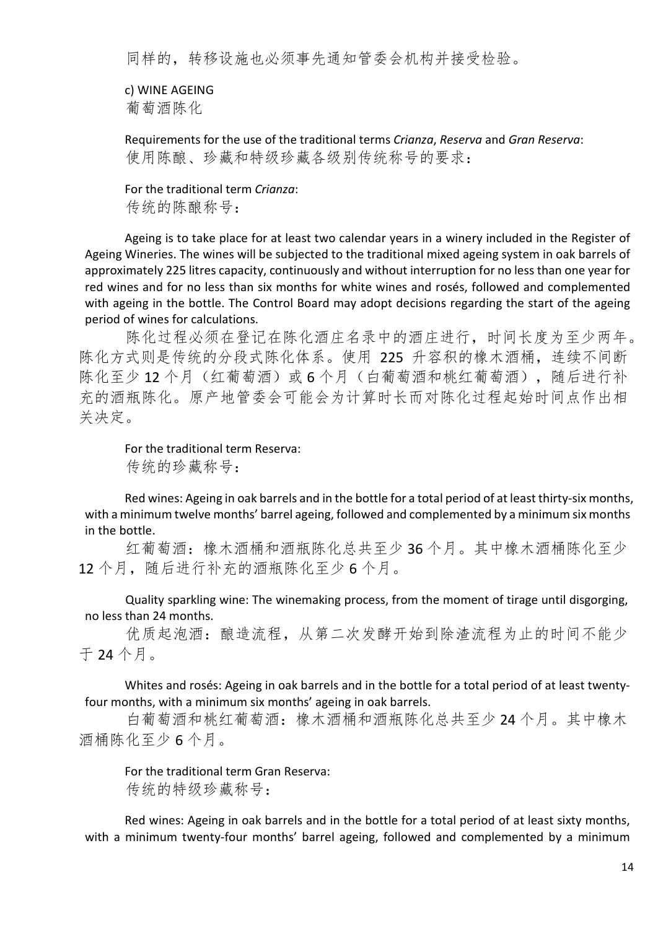同样的,转移设施也必须事先通知管委会机构并接受检验。

c) WINE AGEING 葡萄酒陈化

Requirements for the use of the traditional terms *Crianza*, *Reserva* and *Gran Reserva*: 使用陈酿、珍藏和特级珍藏各级别传统称号的要求:

For the traditional term *Crianza*: 传统的陈酿称号:

Ageing is to take place for at least two calendar years in a winery included in the Register of Ageing Wineries. The wines will be subjected to the traditional mixed ageing system in oak barrels of approximately 225 litres capacity, continuously and without interruption for no less than one year for red wines and for no less than six months for white wines and rosés, followed and complemented with ageing in the bottle. The Control Board may adopt decisions regarding the start of the ageing period of wines for calculations.

陈化过程必须在登记在陈化酒庄名录中的酒庄进行,时间长度为至少两年。 陈化方式则是传统的分段式陈化体系。使用 225 升容积的橡木酒桶,连续不间断 陈化至少12个月(红葡萄酒)或6个月(白葡萄酒和桃红葡萄酒),随后进行补 充的酒瓶陈化。原产地管委会可能会为计算时长而对陈化过程起始时间点作出相 关决定。

For the traditional term Reserva: 传统的珍藏称号:

Red wines: Ageing in oak barrels and in the bottle for a total period of at least thirty-six months, with a minimum twelve months' barrel ageing, followed and complemented by a minimum six months in the bottle.

红葡萄酒:橡木酒桶和酒瓶陈化总共至少 36 个月。其中橡木酒桶陈化至少 12个月, 随后进行补充的酒瓶陈化至少 6 个月。

Quality sparkling wine: The winemaking process, from the moment of tirage until disgorging, no less than 24 months.

优质起泡酒:酿造流程,从第二次发酵开始到除渣流程为止的时间不能少 于 24 个月。

Whites and rosés: Ageing in oak barrels and in the bottle for a total period of at least twentyfour months, with a minimum six months' ageing in oak barrels.

白葡萄酒和桃红葡萄酒:橡木酒桶和酒瓶陈化总共至少 24 个月。其中橡木 酒桶陈化至少 6 个月。

For the traditional term Gran Reserva: 传统的特级珍藏称号:

Red wines: Ageing in oak barrels and in the bottle for a total period of at least sixty months, with a minimum twenty-four months' barrel ageing, followed and complemented by a minimum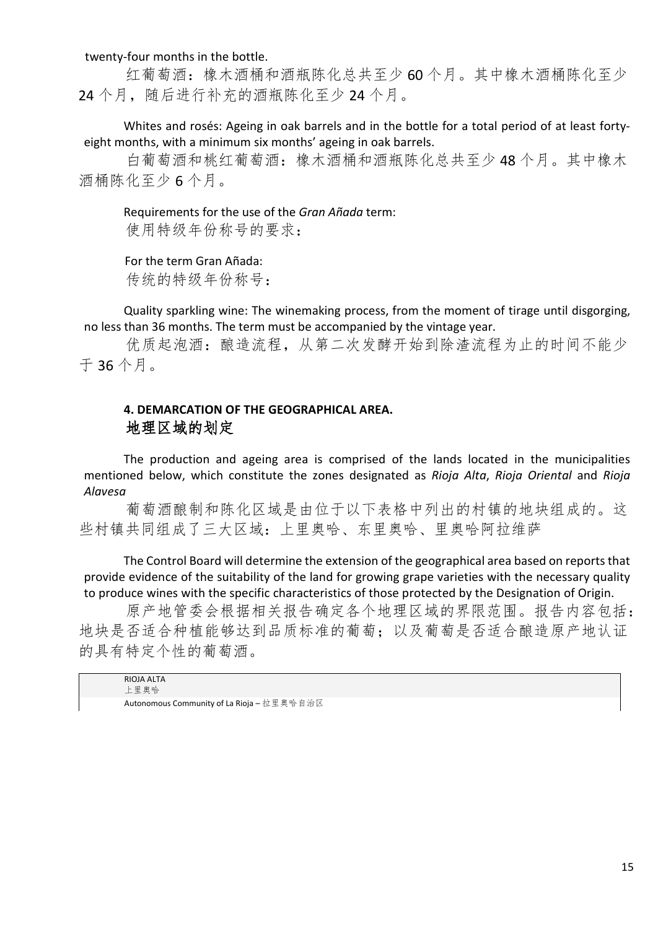twenty-four months in the bottle.

红葡萄酒:橡木酒桶和酒瓶陈化总共至少 60 个月。其中橡木酒桶陈化至少 24个月,随后进行补充的酒瓶陈化至少 24个月。

Whites and rosés: Ageing in oak barrels and in the bottle for a total period of at least fortyeight months, with a minimum six months' ageing in oak barrels.

白葡萄酒和桃红葡萄酒:橡木酒桶和酒瓶陈化总共至少 48 个月。其中橡木 酒桶陈化至少 6 个月。

Requirements for the use of the *Gran Añada* term: 使用特级年份称号的要求:

For the term Gran Añada: 传统的特级年份称号:

Quality sparkling wine: The winemaking process, from the moment of tirage until disgorging, no less than 36 months. The term must be accompanied by the vintage year.

优质起泡酒:酿造流程,从第二次发酵开始到除渣流程为止的时间不能少 于 36 个月。

# **4. DEMARCATION OF THE GEOGRAPHICAL AREA.** 地理区域的划定

The production and ageing area is comprised of the lands located in the municipalities mentioned below, which constitute the zones designated as *Rioja Alta*, *Rioja Oriental* and *Rioja Alavesa*

葡萄酒酿制和陈化区域是由位于以下表格中列出的村镇的地块组成的。这 些村镇共同组成了三大区域:上里奥哈、东里奥哈、里奥哈阿拉维萨

The Control Board will determine the extension of the geographical area based on reports that provide evidence of the suitability of the land for growing grape varieties with the necessary quality to produce wines with the specific characteristics of those protected by the Designation of Origin.

原产地管委会根据相关报告确定各个地理区域的界限范围。报告内容包括: 地块是否适合种植能够达到品质标准的葡萄;以及葡萄是否适合酿造原产地认证 的具有特定个性的葡萄酒。

RIOJA ALTA 上里奥哈 Autonomous Community of La Rioja – 拉里奥哈自治区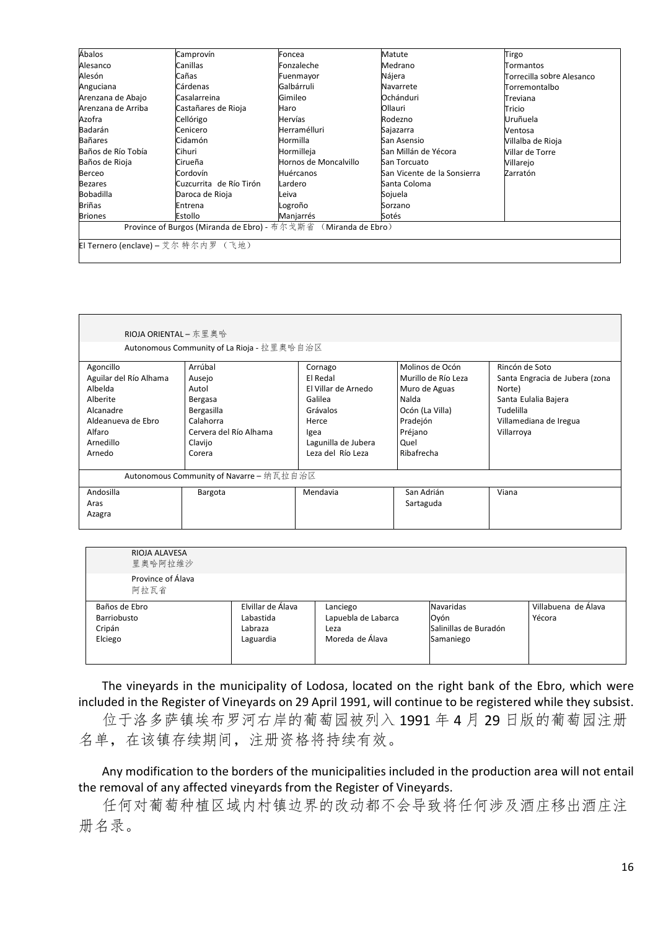| Ábalos                                                         | Camprovín               | Foncea                | Matute                      | Tirgo                     |  |
|----------------------------------------------------------------|-------------------------|-----------------------|-----------------------------|---------------------------|--|
| Alesanco                                                       | Canillas                | Fonzaleche            | Medrano                     | Tormantos                 |  |
| Alesón                                                         | Cañas                   | Fuenmayor             | Nájera                      | Torrecilla sobre Alesanco |  |
| Anguciana                                                      | Cárdenas                | Galbárruli            | Navarrete                   | Torremontalbo             |  |
| Arenzana de Abajo                                              | Casalarreina            | Gimileo               | Ochánduri                   | Treviana                  |  |
| Arenzana de Arriba                                             | Castañares de Rioja     | Haro                  | Ollauri                     | Tricio                    |  |
| Azofra                                                         | Cellórigo               | Hervías               | Rodezno                     | Uruñuela                  |  |
| Badarán                                                        | Cenicero                | Herramélluri          | Sajazarra                   | Ventosa                   |  |
| <b>Bañares</b>                                                 | Cidamón                 | Hormilla              | San Asensio                 | Villalba de Rioja         |  |
| Baños de Río Tobía                                             | Cihuri                  | Hormilleja            | San Millán de Yécora        | Villar de Torre           |  |
| Baños de Rioja                                                 | Cirueña                 | Hornos de Moncalvillo | San Torcuato                | Villarejo                 |  |
| Berceo                                                         | Cordovín                | Huércanos             | San Vicente de la Sonsierra | Zarratón                  |  |
| <b>Bezares</b>                                                 | Cuzcurrita de Río Tirón | Lardero               | Santa Coloma                |                           |  |
| <b>Bobadilla</b>                                               | Daroca de Rioja         | Leiva                 | Sojuela                     |                           |  |
| Briñas                                                         | Entrena                 | Logroño               | Sorzano                     |                           |  |
| <b>Briones</b>                                                 | Estollo                 | Manjarrés             | Sotés                       |                           |  |
| Province of Burgos (Miranda de Ebro) - 布尔戈斯省 (Miranda de Ebro) |                         |                       |                             |                           |  |
| El Ternero (enclave) – 艾尔特尔内罗 (飞地)                             |                         |                       |                             |                           |  |

| RIOJA ORIENTAL - 东里奥哈                    |                                            |                     |                     |                                |  |
|------------------------------------------|--------------------------------------------|---------------------|---------------------|--------------------------------|--|
|                                          | Autonomous Community of La Rioja - 拉里奥哈自治区 |                     |                     |                                |  |
| Agoncillo                                | Arrúbal                                    | Cornago             | Molinos de Ocón     | Rincón de Soto                 |  |
|                                          |                                            | El Redal            | Murillo de Río Leza |                                |  |
| Aguilar del Río Alhama                   | Ausejo                                     |                     |                     | Santa Engracia de Jubera (zona |  |
| Albelda                                  | Autol                                      | El Villar de Arnedo | Muro de Aguas       | Norte)                         |  |
| Alberite                                 | Bergasa                                    | Galilea             | Nalda               | Santa Eulalia Bajera           |  |
| Alcanadre                                | Bergasilla                                 | Grávalos            | Ocón (La Villa)     | Tudelilla                      |  |
| Aldeanueva de Ebro                       | Calahorra                                  | Herce               | Pradejón            | Villamediana de Iregua         |  |
| Alfaro                                   | Cervera del Río Alhama                     | Igea                | Préjano             | Villarroya                     |  |
| Arnedillo                                | Clavijo                                    | Lagunilla de Jubera | Quel                |                                |  |
| Arnedo                                   | Corera                                     | Leza del Río Leza   | Ribafrecha          |                                |  |
|                                          |                                            |                     |                     |                                |  |
| Autonomous Community of Navarre - 纳瓦拉自治区 |                                            |                     |                     |                                |  |
| Andosilla                                | Bargota                                    | Mendavia            | San Adrián          | Viana                          |  |
| Aras                                     |                                            |                     | Sartaguda           |                                |  |
| Azagra                                   |                                            |                     |                     |                                |  |
|                                          |                                            |                     |                     |                                |  |

| RIOJA ALAVESA<br>里奥哈阿拉维沙                          |                                                        |                                                            |                                                                |                               |
|---------------------------------------------------|--------------------------------------------------------|------------------------------------------------------------|----------------------------------------------------------------|-------------------------------|
| Province of Álava<br>阿拉瓦省                         |                                                        |                                                            |                                                                |                               |
| Baños de Ebro<br>Barriobusto<br>Cripán<br>Elciego | Elvillar de Álava<br>Labastida<br>Labraza<br>Laguardia | Lanciego<br>Lapuebla de Labarca<br>Leza<br>Moreda de Álava | <b>Navaridas</b><br>Oyón<br>Salinillas de Buradón<br>Samaniego | Villabuena de Álava<br>Yécora |

The vineyards in the municipality of Lodosa, located on the right bank of the Ebro, which were included in the Register of Vineyards on 29 April 1991, will continue to be registered while they subsist.

位于洛多萨镇埃布罗河右岸的葡萄园被列入 1991 年 4 月 29 日版的葡萄园注册 名单,在该镇存续期间,注册资格将持续有效。

Any modification to the borders of the municipalities included in the production area will not entail the removal of any affected vineyards from the Register of Vineyards.

任何对葡萄种植区域内村镇边界的改动都不会导致将任何涉及酒庄移出酒庄注 册名录。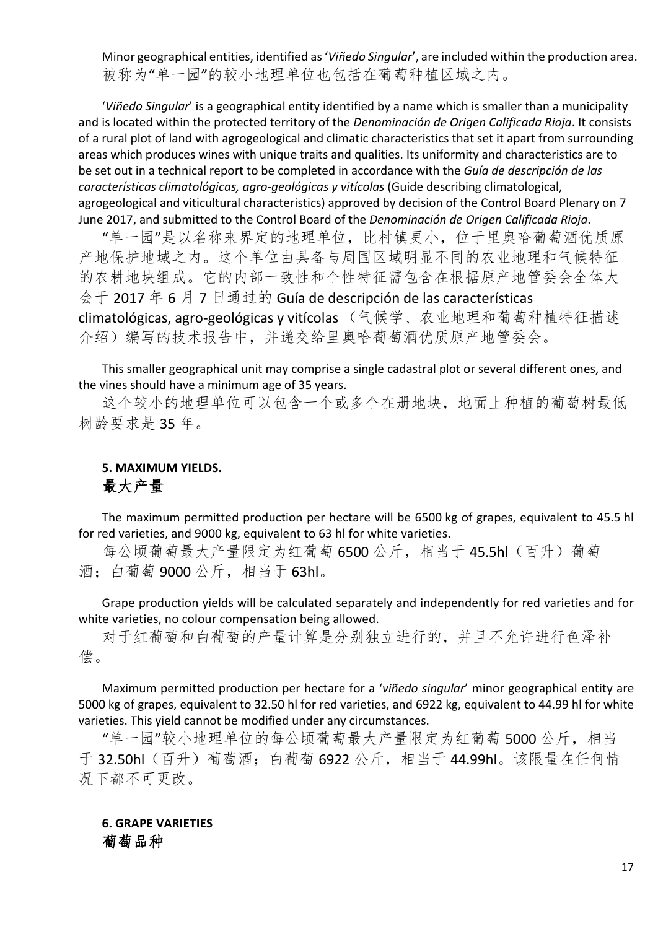Minor geographical entities, identified as '*Viñedo Singular*', are included within the production area. 被称为"单一园"的较小地理单位也包括在葡萄种植区域之内。

'*Viñedo Singular*' is a geographical entity identified by a name which is smaller than a municipality and is located within the protected territory of the *Denominación de Origen Calificada Rioja*. It consists of a rural plot of land with agrogeological and climatic characteristics that set it apart from surrounding areas which produces wines with unique traits and qualities. Its uniformity and characteristics are to be set out in a technical report to be completed in accordance with the *Guía de descripción de las características climatológicas, agro-geológicas y vitícolas* (Guide describing climatological, agrogeological and viticultural characteristics) approved by decision of the Control Board Plenary on 7 June 2017, and submitted to the Control Board of the *Denominación de Origen Calificada Rioja*.

"单一园"是以名称来界定的地理单位,比村镇更小,位于里奥哈葡萄酒优质原 产地保护地域之内。这个单位由具备与周围区域明显不同的农业地理和气候特征 的农耕地块组成。它的内部一致性和个性特征需包含在根据原产地管委会全体大 会于 2017 年 6 月 7 日通过的 Guía de descripción de las características climatológicas, agro-geológicas y vitícolas (气候学、农业地理和葡萄种植特征描述 介绍)编写的技术报告中,并递交给里奥哈葡萄酒优质原产地管委会。

This smaller geographical unit may comprise a single cadastral plot or several different ones, and the vines should have a minimum age of 35 years.

这个较小的地理单位可以包含一个或多个在册地块,地面上种植的葡萄树最低 树龄要求是 35 年。

# **5. MAXIMUM YIELDS.** 最大产量

The maximum permitted production per hectare will be 6500 kg of grapes, equivalent to 45.5 hl for red varieties, and 9000 kg, equivalent to 63 hl for white varieties.

每公顷葡萄最大产量限定为红葡萄 6500 公斤, 相当于 45.5hl (百升) 葡萄 酒;白葡萄 9000 公斤,相当于 63hl。

Grape production yields will be calculated separately and independently for red varieties and for white varieties, no colour compensation being allowed.

对于红葡萄和白葡萄的产量计算是分别独立进行的,并且不允许进行色泽补 偿。

Maximum permitted production per hectare for a '*viñedo singular*' minor geographical entity are 5000 kg of grapes, equivalent to 32.50 hl for red varieties, and 6922 kg, equivalent to 44.99 hl for white varieties. This yield cannot be modified under any circumstances.

"单一园"较小地理单位的每公顷葡萄最大产量限定为红葡萄 5000 公斤,相当 于 32.50hl(百升)葡萄酒;白葡萄 6922 公斤,相当于 44.99hl。该限量在任何情 况下都不可更改。

### **6. GRAPE VARIETIES** 葡萄品种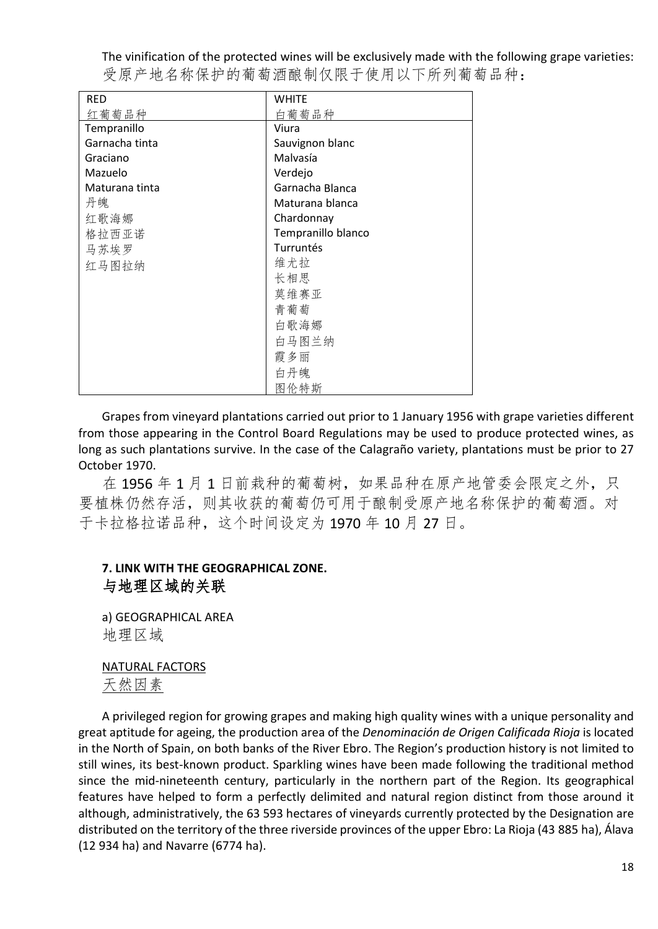The vinification of the protected wines will be exclusively made with the following grape varieties: 受原产地名称保护的葡萄酒酿制仅限于使用以下所列葡萄品种:

| <b>RED</b>     | <b>WHITE</b>       |
|----------------|--------------------|
| 红葡萄品种          | 白葡萄品种              |
| Tempranillo    | Viura              |
| Garnacha tinta | Sauvignon blanc    |
| Graciano       | Malvasía           |
| Mazuelo        | Verdejo            |
| Maturana tinta | Garnacha Blanca    |
| 丹魄             | Maturana blanca    |
| 红歌海娜           | Chardonnay         |
| 格拉西亚诺          | Tempranillo blanco |
| 马苏埃罗           | Turruntés          |
| 红马图拉纳          | 维尤拉                |
|                | 长相思                |
|                | 莫维赛亚               |
|                | 青葡萄                |
|                | 白歌海娜               |
|                | 白马图兰纳              |
|                | 霞多丽                |
|                | 白丹魄                |
|                | 图伦特斯               |

Grapes from vineyard plantations carried out prior to 1 January 1956 with grape varieties different from those appearing in the Control Board Regulations may be used to produce protected wines, as long as such plantations survive. In the case of the Calagraño variety, plantations must be prior to 27 October 1970.

在 1956 年 1 月 1 日前栽种的葡萄树, 如果品种在原产地管委会限定之外, 只 要植株仍然存活,则其收获的葡萄仍可用于酿制受原产地名称保护的葡萄酒。对 于卡拉格拉诺品种,这个时间设定为 1970 年 10 月 27 日。

# **7. LINK WITH THE GEOGRAPHICAL ZONE.** 与地理区域的关联

a) GEOGRAPHICAL AREA 地理区域

# NATURAL FACTORS

天然因素

A privileged region for growing grapes and making high quality wines with a unique personality and great aptitude for ageing, the production area of the *Denominación de Origen Calificada Rioja* is located in the North of Spain, on both banks of the River Ebro. The Region's production history is not limited to still wines, its best-known product. Sparkling wines have been made following the traditional method since the mid-nineteenth century, particularly in the northern part of the Region. Its geographical features have helped to form a perfectly delimited and natural region distinct from those around it although, administratively, the 63 593 hectares of vineyards currently protected by the Designation are distributed on the territory of the three riverside provinces of the upper Ebro: La Rioja (43 885 ha), Álava (12 934 ha) and Navarre (6774 ha).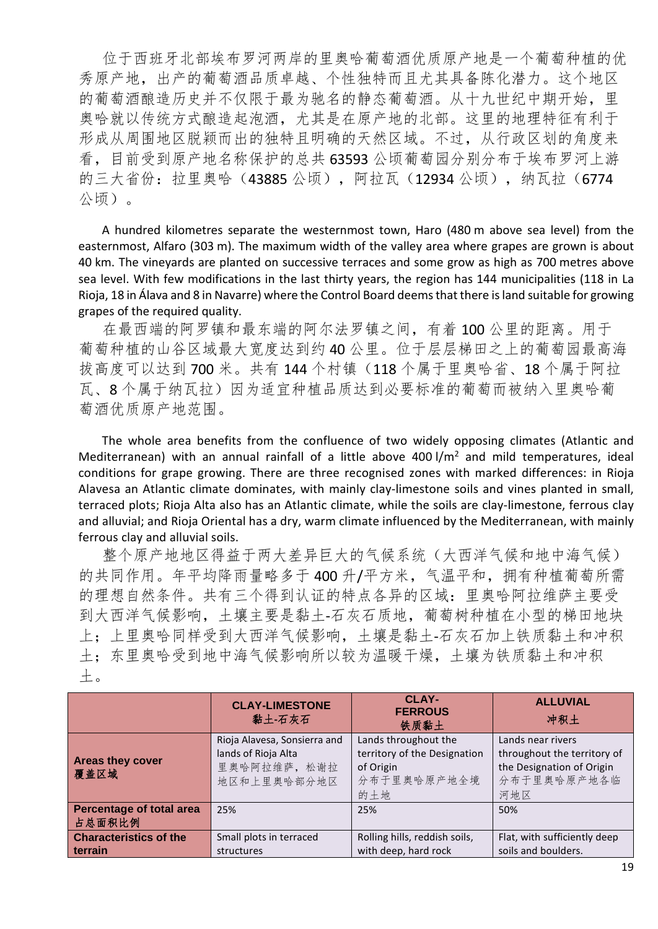位于西班牙北部埃布罗河两岸的里奥哈葡萄酒优质原产地是一个葡萄种植的优 秀原产地,出产的葡萄酒品质卓越、个性独特而且尤其具备陈化潜力。这个地区 的葡萄酒酿造历史并不仅限于最为驰名的静态葡萄酒。从十九世纪中期开始,里 奥哈就以传统方式酿造起泡酒,尤其是在原产地的北部。这里的地理特征有利于 形成从周围地区脱颖而出的独特且明确的天然区域。不过,从行政区划的角度来 看,目前受到原产地名称保护的总共 63593 公顷葡萄园分别分布于埃布罗河上游 的三大省份: 拉里奥哈(43885公顷), 阿拉瓦(12934公顷), 纳瓦拉(6774 公顷)。

A hundred kilometres separate the westernmost town, Haro (480 m above sea level) from the easternmost, Alfaro (303 m). The maximum width of the valley area where grapes are grown is about 40 km. The vineyards are planted on successive terraces and some grow as high as 700 metres above sea level. With few modifications in the last thirty years, the region has 144 municipalities (118 in La Rioja, 18 in Álava and 8 in Navarre) where the Control Board deems that there is land suitable for growing grapes of the required quality.

在最西端的阿罗镇和最东端的阿尔法罗镇之间,有着 100 公里的距离。用于 葡萄种植的山谷区域最大宽度达到约 40 公里。位于层层梯田之上的葡萄园最高海 拔高度可以达到 700 米。共有 144 个村镇(118 个属于里奥哈省、18 个属于阿拉 瓦、8个属于纳瓦拉)因为适宜种植品质达到必要标准的葡萄而被纳入里奥哈葡 萄酒优质原产地范围。

The whole area benefits from the confluence of two widely opposing climates (Atlantic and Mediterranean) with an annual rainfall of a little above 400  $1/m^2$  and mild temperatures, ideal conditions for grape growing. There are three recognised zones with marked differences: in Rioja Alavesa an Atlantic climate dominates, with mainly clay-limestone soils and vines planted in small, terraced plots; Rioja Alta also has an Atlantic climate, while the soils are clay-limestone, ferrous clay and alluvial; and Rioja Oriental has a dry, warm climate influenced by the Mediterranean, with mainly ferrous clay and alluvial soils.

整个原产地地区得益于两大差异巨大的气候系统(大西洋气候和地中海气候) 的共同作用。年平均降雨量略多于 400 升/平方米,气温平和,拥有种植葡萄所需 的理想自然条件。共有三个得到认证的特点各异的区域:里奥哈阿拉维萨主要受 到大西洋气候影响,土壤主要是黏土-石灰石质地,葡萄树种植在小型的梯田地块 上;上里奥哈同样受到大西洋气候影响,土壤是黏土-石灰石加上铁质黏土和冲积 土;东里奥哈受到地中海气候影响所以较为温暖干燥,土壤为铁质黏土和冲积 土。

|                                          | <b>CLAY-LIMESTONE</b><br>黏土-石灰石                                                    | CLAY-<br><b>FERROUS</b><br>铁质黏土                                                         | <b>ALLUVIAL</b><br>冲积土                                                                              |
|------------------------------------------|------------------------------------------------------------------------------------|-----------------------------------------------------------------------------------------|-----------------------------------------------------------------------------------------------------|
| Areas they cover<br>覆盖区域                 | Rioja Alavesa, Sonsierra and<br>lands of Rioja Alta<br>里奥哈阿拉维萨, 松谢拉<br>地区和上里奥哈部分地区 | Lands throughout the<br>territory of the Designation<br>of Origin<br>分布于里奥哈原产地全境<br>的土地 | Lands near rivers<br>throughout the territory of<br>the Designation of Origin<br>分布于里奥哈原产地各临<br>河地区 |
| Percentage of total area<br>占总面积比例       | 25%                                                                                | 25%                                                                                     | 50%                                                                                                 |
| <b>Characteristics of the</b><br>terrain | Small plots in terraced<br>structures                                              | Rolling hills, reddish soils,<br>with deep, hard rock                                   | Flat, with sufficiently deep<br>soils and boulders.                                                 |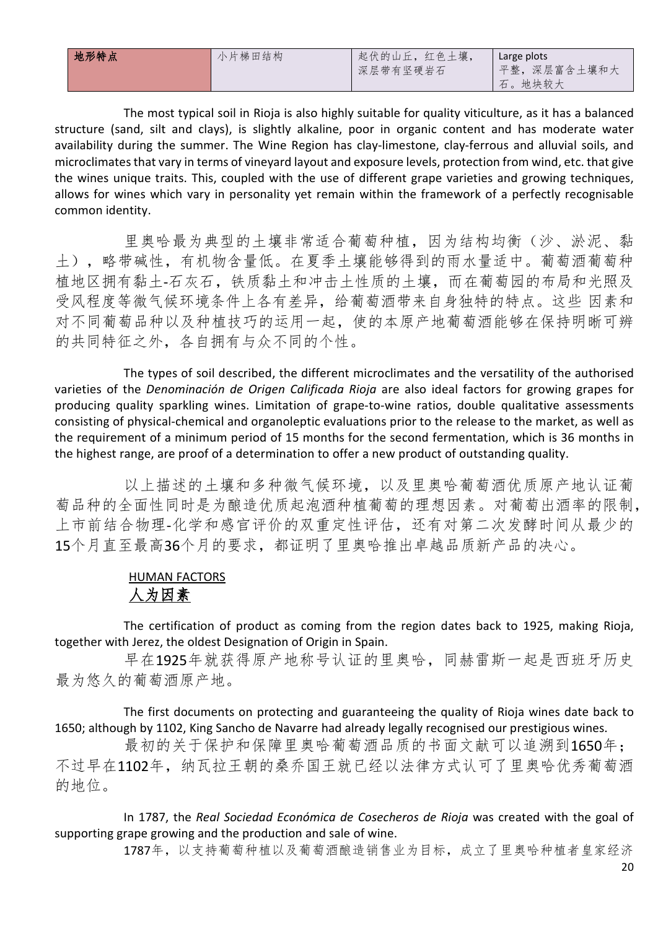| 地形特点 | 小片梯田结构 | 起伏的山丘, 红色土壤,<br>深层带有坚硬岩石 | Large plots<br>平整,深层富含土壤和大 |
|------|--------|--------------------------|----------------------------|
|      |        |                          | 石。地块较大                     |

The most typical soil in Rioja is also highly suitable for quality viticulture, as it has a balanced structure (sand, silt and clays), is slightly alkaline, poor in organic content and has moderate water availability during the summer. The Wine Region has clay-limestone, clay-ferrous and alluvial soils, and microclimates that vary in terms of vineyard layout and exposure levels, protection from wind, etc. that give the wines unique traits. This, coupled with the use of different grape varieties and growing techniques, allows for wines which vary in personality yet remain within the framework of a perfectly recognisable common identity.

里奥哈最为典型的土壤非常适合葡萄种植,因为结构均衡(沙、淤泥、黏 土),略带碱性,有机物含量低。在夏季土壤能够得到的雨水量适中。葡萄酒葡萄种 植地区拥有黏土-石灰石,铁质黏土和冲击土性质的土壤,而在葡萄园的布局和光照及 受风程度等微气候环境条件上各有差异,给葡萄酒带来自身独特的特点。这些 因素和 对不同葡萄品种以及种植技巧的运用一起,使的本原产地葡萄酒能够在保持明晰可辨 的共同特征之外,各自拥有与众不同的个性。

The types of soil described, the different microclimates and the versatility of the authorised varieties of the *Denominación de Origen Calificada Rioja* are also ideal factors for growing grapes for producing quality sparkling wines. Limitation of grape-to-wine ratios, double qualitative assessments consisting of physical-chemical and organoleptic evaluations prior to the release to the market, as well as the requirement of a minimum period of 15 months for the second fermentation, which is 36 months in the highest range, are proof of a determination to offer a new product of outstanding quality.

以上描述的土壤和多种微气候环境,以及里奥哈葡萄酒优质原产地认证葡 萄品种的全面性同时是为酿造优质起泡酒种植葡萄的理想因素。对葡萄出酒率的限制, 上市前结合物理-化学和感官评价的双重定性评估,还有对第二次发酵时间从最少的 15个月直至最高36个月的要求,都证明了里奥哈推出卓越品质新产品的决心。

# HUMAN FACTORS 人为因素

The certification of product as coming from the region dates back to 1925, making Rioja, together with Jerez, the oldest Designation of Origin in Spain.

早在1925年就获得原产地称号认证的里奥哈,同赫雷斯一起是西班牙历史 最为悠久的葡萄酒原产地。

The first documents on protecting and guaranteeing the quality of Rioja wines date back to 1650; although by 1102, King Sancho de Navarre had already legally recognised our prestigious wines.

最初的关于保护和保障里奥哈葡萄酒品质的书面文献可以追溯到1650年; 不过早在1102年, 纳瓦拉王朝的桑乔国王就已经以法律方式认可了里奥哈优秀葡萄酒 的地位。

In 1787, the *Real Sociedad Económica de Cosecheros de Rioja* was created with the goal of supporting grape growing and the production and sale of wine.

1787年,以支持葡萄种植以及葡萄酒酿造销售业为目标,成立了里奥哈种植者皇家经济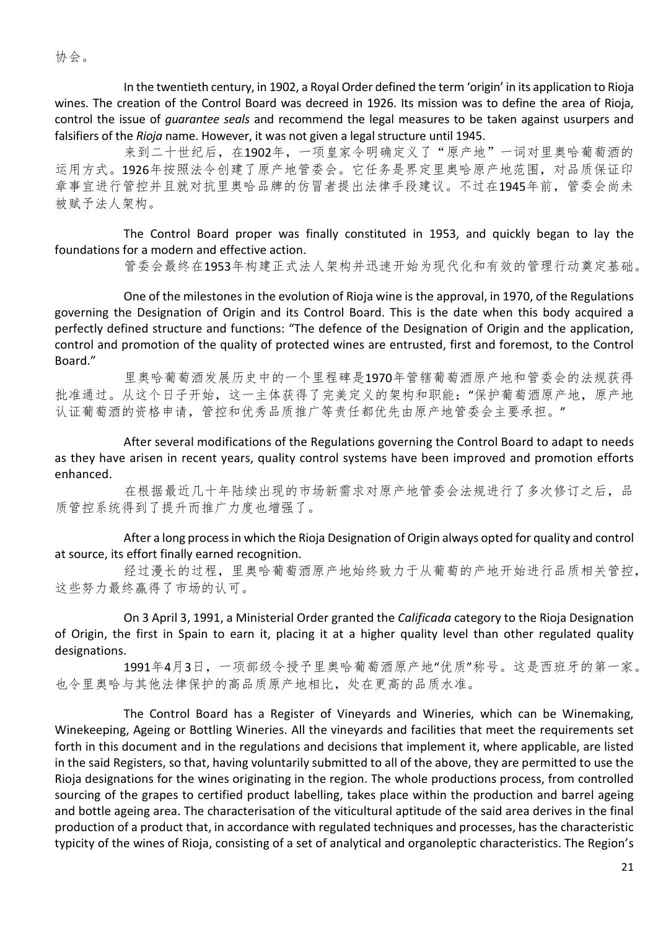协会。

In the twentieth century, in 1902, a Royal Order defined the term 'origin' in its application to Rioja wines. The creation of the Control Board was decreed in 1926. Its mission was to define the area of Rioja, control the issue of *guarantee seals* and recommend the legal measures to be taken against usurpers and falsifiers of the *Rioja* name. However, it was not given a legal structure until 1945.

来到二十世纪后, 在1902年, 一项皇家令明确定义了"原产地"一词对里奥哈葡萄酒的 运用方式。1926年按照法令创建了原产地管委会。它任务是界定里奥哈原产地范围,对品质保证印 章事宜进行管控并且就对抗里奥哈品牌的仿冒者提出法律手段建议。不过在1945年前,管委会尚未 被赋予法人架构。

The Control Board proper was finally constituted in 1953, and quickly began to lay the foundations for a modern and effective action.

管委会最终在1953年构建正式法人架构并迅速开始为现代化和有效的管理行动奠定基础。

One of the milestones in the evolution of Rioja wine is the approval, in 1970, of the Regulations governing the Designation of Origin and its Control Board. This is the date when this body acquired a perfectly defined structure and functions: "The defence of the Designation of Origin and the application, control and promotion of the quality of protected wines are entrusted, first and foremost, to the Control Board."

里奥哈葡萄酒发展历史中的一个里程碑是1970年管辖葡萄酒原产地和管委会的法规获得 批准通过。从这个日子开始,这一主体获得了完美定义的架构和职能:"保护葡萄酒原产地,原产地 认证葡萄酒的资格申请,管控和优秀品质推广等责任都优先由原产地管委会主要承担。"

After several modifications of the Regulations governing the Control Board to adapt to needs as they have arisen in recent years, quality control systems have been improved and promotion efforts enhanced.

在根据最近几十年陆续出现的市场新需求对原产地管委会法规进行了多次修订之后,品 质管控系统得到了提升而推广力度也增强了。

After a long process in which the Rioja Designation of Origin always opted for quality and control at source, its effort finally earned recognition.

经过漫长的过程,里奥哈葡萄酒原产地始终致力于从葡萄的产地开始进行品质相关管控, 这些努力最终赢得了市场的认可。

On 3 April 3, 1991, a Ministerial Order granted the *Calificada* category to the Rioja Designation of Origin, the first in Spain to earn it, placing it at a higher quality level than other regulated quality designations.

1991年4月3日,一项部级令授予里奥哈葡萄酒原产地"优质"称号。这是西班牙的第一家。 也令里奥哈与其他法律保护的高品质原产地相比,处在更高的品质水准。

The Control Board has a Register of Vineyards and Wineries, which can be Winemaking, Winekeeping, Ageing or Bottling Wineries. All the vineyards and facilities that meet the requirements set forth in this document and in the regulations and decisions that implement it, where applicable, are listed in the said Registers, so that, having voluntarily submitted to all of the above, they are permitted to use the Rioja designations for the wines originating in the region. The whole productions process, from controlled sourcing of the grapes to certified product labelling, takes place within the production and barrel ageing and bottle ageing area. The characterisation of the viticultural aptitude of the said area derives in the final production of a product that, in accordance with regulated techniques and processes, has the characteristic typicity of the wines of Rioja, consisting of a set of analytical and organoleptic characteristics. The Region's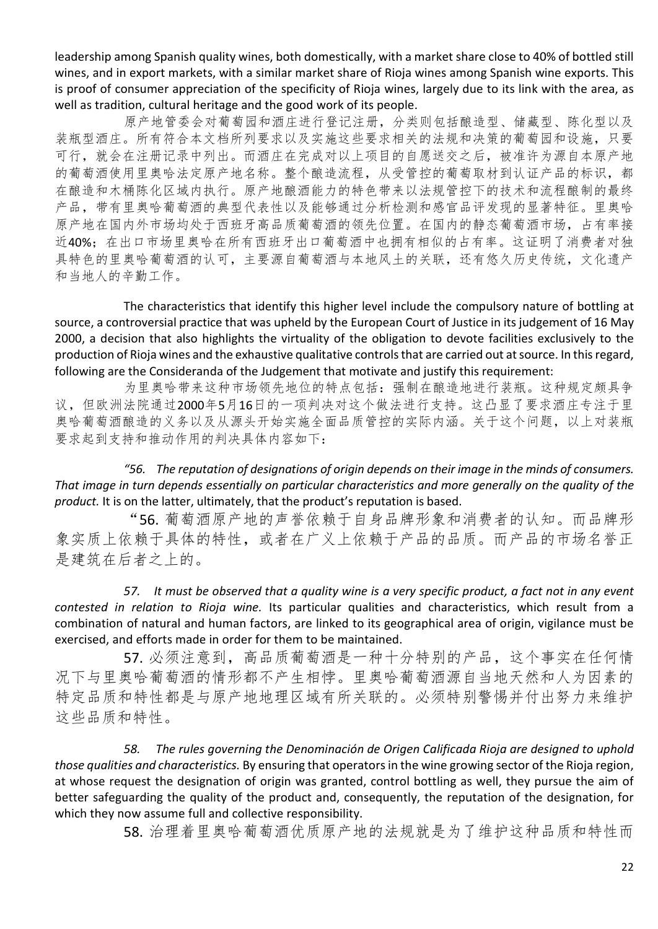leadership among Spanish quality wines, both domestically, with a market share close to 40% of bottled still wines, and in export markets, with a similar market share of Rioja wines among Spanish wine exports. This is proof of consumer appreciation of the specificity of Rioja wines, largely due to its link with the area, as well as tradition, cultural heritage and the good work of its people.

原产地管委会对葡萄园和酒庄进行登记注册,分类则包括酿造型、储藏型、陈化型以及 装瓶型酒庄。所有符合本文档所列要求以及实施这些要求相关的法规和决策的葡萄园和设施,只要 可行,就会在注册记录中列出。而酒庄在完成对以上项目的自愿送交之后,被准许为源自本原产地 的葡萄酒使用里奥哈法定原产地名称。整个酿造流程,从受管控的葡萄取材到认证产品的标识,都 在酿造和木桶陈化区域内执行。原产地酿酒能力的特色带来以法规管控下的技术和流程酿制的最终 产品,带有里奥哈葡萄酒的典型代表性以及能够通过分析检测和感官品评发现的显著特征。里奥哈 原产地在国内外市场均处于西班牙高品质葡萄酒的领先位置。在国内的静态葡萄酒市场,占有率接 近40%;在出口市场里奥哈在所有西班牙出口葡萄酒中也拥有相似的占有率。这证明了消费者对独 具特色的里奥哈葡萄酒的认可,主要源自葡萄酒与本地风土的关联,还有悠久历史传统,文化遗产 和当地人的辛勤工作。

The characteristics that identify this higher level include the compulsory nature of bottling at source, a controversial practice that was upheld by the European Court of Justice in its judgement of 16 May 2000, a decision that also highlights the virtuality of the obligation to devote facilities exclusively to the production of Rioja wines and the exhaustive qualitative controls that are carried out at source. In this regard, following are the Consideranda of the Judgement that motivate and justify this requirement:

为里奥哈带来这种市场领先地位的特点包括:强制在酿造地进行装瓶。这种规定颇具争 议,但欧洲法院通过2000年5月16日的一项判决对这个做法进行支持。这凸显了要求酒庄专注于里 奥哈葡萄酒酿造的义务以及从源头开始实施全面品质管控的实际内涵。关于这个问题,以上对装瓶 要求起到支持和推动作用的判决具体内容如下:

*"56. The reputation of designations of origin depends on their image in the minds of consumers. That image in turn depends essentially on particular characteristics and more generally on the quality of the product.* It is on the latter, ultimately, that the product's reputation is based.

"56. 葡萄酒原产地的声誉依赖于自身品牌形象和消费者的认知。而品牌形 象实质上依赖于具体的特性,或者在广义上依赖于产品的品质。而产品的市场名誉正 是建筑在后者之上的。

*57. It must be observed that a quality wine is a very specific product, a fact not in any event contested in relation to Rioja wine.* Its particular qualities and characteristics, which result from a combination of natural and human factors, are linked to its geographical area of origin, vigilance must be exercised, and efforts made in order for them to be maintained.

57. 必须注意到,高品质葡萄酒是一种十分特别的产品,这个事实在任何情 况下与里奥哈葡萄酒的情形都不产生相悖。里奥哈葡萄酒源自当地天然和人为因素的 特定品质和特性都是与原产地地理区域有所关联的。必须特别警惕并付出努力来维护 这些品质和特性。

*58. The rules governing the Denominación de Origen Calificada Rioja are designed to uphold those qualities and characteristics.* By ensuring that operators in the wine growing sector of the Rioja region, at whose request the designation of origin was granted, control bottling as well, they pursue the aim of better safeguarding the quality of the product and, consequently, the reputation of the designation, for which they now assume full and collective responsibility.

58. 治理着里奥哈葡萄酒优质原产地的法规就是为了维护这种品质和特性而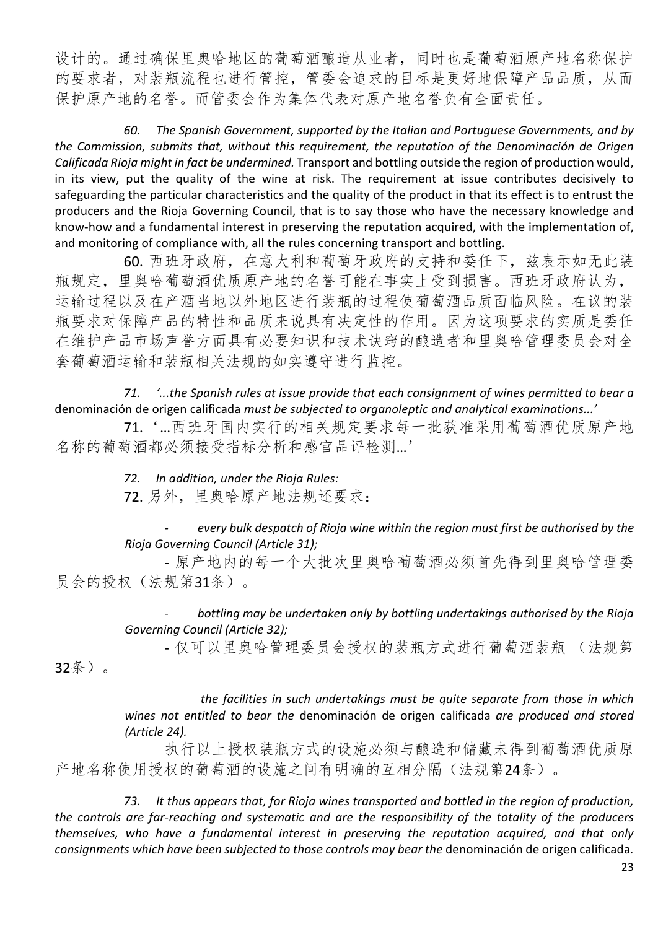设计的。通过确保里奥哈地区的葡萄酒酿造从业者,同时也是葡萄酒原产地名称保护 的要求者,对装瓶流程也进行管控,管委会追求的目标是更好地保障产品品质,从而 保护原产地的名誉。而管委会作为集体代表对原产地名誉负有全面责任。

*60. The Spanish Government, supported by the Italian and Portuguese Governments, and by the Commission, submits that, without this requirement, the reputation of the Denominación de Origen Calificada Rioja might in fact be undermined.* Transport and bottling outside the region of production would, in its view, put the quality of the wine at risk. The requirement at issue contributes decisively to safeguarding the particular characteristics and the quality of the product in that its effect is to entrust the producers and the Rioja Governing Council, that is to say those who have the necessary knowledge and know-how and a fundamental interest in preserving the reputation acquired, with the implementation of, and monitoring of compliance with, all the rules concerning transport and bottling.

60. 西班牙政府,在意大利和葡萄牙政府的支持和委任下,兹表示如无此装 瓶规定,里奥哈葡萄酒优质原产地的名誉可能在事实上受到损害。西班牙政府认为, 运输过程以及在产酒当地以外地区进行装瓶的过程使葡萄酒品质面临风险。在议的装 瓶要求对保障产品的特性和品质来说具有决定性的作用。因为这项要求的实质是委任 在维护产品市场声誉方面具有必要知识和技术诀窍的酿造者和里奥哈管理委员会对全 套葡萄酒运输和装瓶相关法规的如实遵守进行监控。

*71. '...the Spanish rules at issue provide that each consignment of wines permitted to bear a*  denominación de origen calificada *must be subjected to organoleptic and analytical examinations...'*

71.'…西班牙国内实行的相关规定要求每一批获准采用葡萄酒优质原产地 名称的葡萄酒都必须接受指标分析和感官品评检测…'

*72. In addition, under the Rioja Rules:*

72. 另外,里奥哈原产地法规还要求:

*- every bulk despatch of Rioja wine within the region must first be authorised by the Rioja Governing Council (Article 31);*

- 原产地内的每一个大批次里奥哈葡萄酒必须首先得到里奥哈管理委 员会的授权(法规第31条)。

> *- bottling may be undertaken only by bottling undertakings authorised by the Rioja Governing Council (Article 32);*

- 仅可以里奥哈管理委员会授权的装瓶方式进行葡萄酒装瓶 (法规第

32条)。

*the facilities in such undertakings must be quite separate from those in which wines not entitled to bear the* denominación de origen calificada *are produced and stored (Article 24).*

执行以上授权装瓶方式的设施必须与酿造和储藏未得到葡萄酒优质原 产地名称使用授权的葡萄酒的设施之间有明确的互相分隔(法规第24条)。

*73. It thus appears that, for Rioja wines transported and bottled in the region of production, the controls are far-reaching and systematic and are the responsibility of the totality of the producers themselves, who have a fundamental interest in preserving the reputation acquired, and that only consignments which have been subjected to those controls may bear the* denominación de origen calificada*.*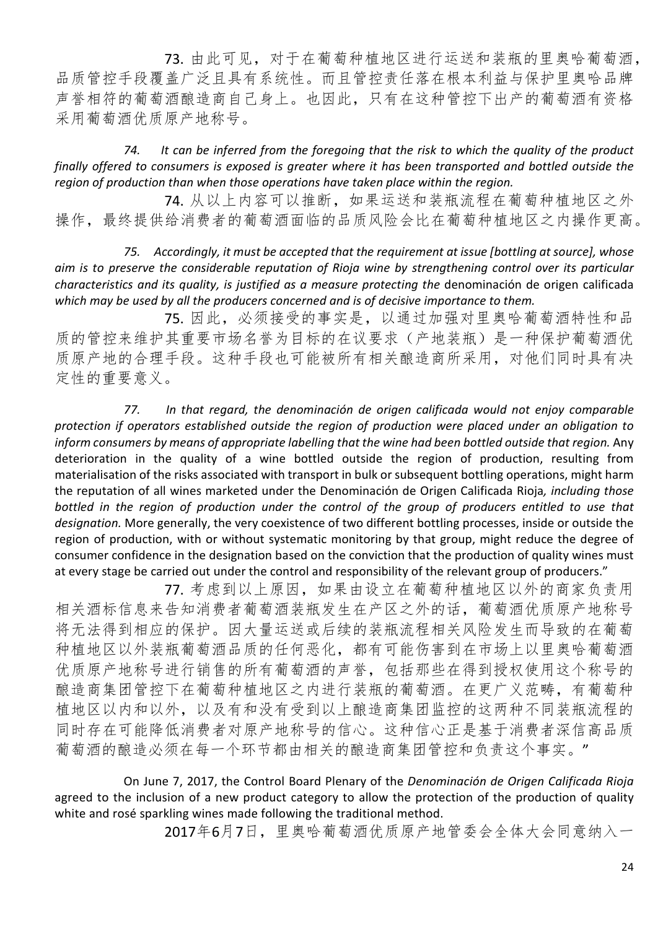73. 由此可见,对于在葡萄种植地区进行运送和装瓶的里奥哈葡萄酒, 品质管控手段覆盖广泛且具有系统性。而且管控责任落在根本利益与保护里奥哈品牌 声誉相符的葡萄酒酿造商自己身上。也因此,只有在这种管控下出产的葡萄酒有资格 采用葡萄酒优质原产地称号。

*74. It can be inferred from the foregoing that the risk to which the quality of the product finally offered to consumers is exposed is greater where it has been transported and bottled outside the region of production than when those operations have taken place within the region.*

74. 从以上内容可以推断,如果运送和装瓶流程在葡萄种植地区之外 操作,最终提供给消费者的葡萄酒面临的品质风险会比在葡萄种植地区之内操作更高。

*75. Accordingly, it must be accepted that the requirement at issue [bottling at source], whose aim is to preserve the considerable reputation of Rioja wine by strengthening control over its particular characteristics and its quality, is justified as a measure protecting the* denominación de origen calificada *which may be used by all the producers concerned and is of decisive importance to them.*

75. 因此,必须接受的事实是,以通过加强对里奥哈葡萄酒特性和品 质的管控来维护其重要市场名誉为目标的在议要求(产地装瓶)是一种保护葡萄酒优 质原产地的合理手段。这种手段也可能被所有相关酿造商所采用,对他们同时具有决 定性的重要意义。

*77. In that regard, the denominación de origen calificada would not enjoy comparable protection if operators established outside the region of production were placed under an obligation to inform consumers by means of appropriate labelling that the wine had been bottled outside that region.* Any deterioration in the quality of a wine bottled outside the region of production, resulting from materialisation of the risks associated with transport in bulk or subsequent bottling operations, might harm the reputation of all wines marketed under the Denominación de Origen Calificada Rioja*, including those*  bottled in the region of production under the control of the group of producers entitled to use that *designation.* More generally, the very coexistence of two different bottling processes, inside or outside the region of production, with or without systematic monitoring by that group, might reduce the degree of consumer confidence in the designation based on the conviction that the production of quality wines must at every stage be carried out under the control and responsibility of the relevant group of producers."

77. 考虑到以上原因, 如果由设立在葡萄种植地区以外的商家负责用 相关酒标信息来告知消费者葡萄酒装瓶发生在产区之外的话,葡萄酒优质原产地称号 将无法得到相应的保护。因大量运送或后续的装瓶流程相关风险发生而导致的在葡萄 种植地区以外装瓶葡萄酒品质的任何恶化,都有可能伤害到在市场上以里奥哈葡萄酒 优质原产地称号进行销售的所有葡萄酒的声誉,包括那些在得到授权使用这个称号的 酿造商集团管控下在葡萄种植地区之内进行装瓶的葡萄酒。在更广义范畴,有葡萄种 植地区以内和以外,以及有和没有受到以上酿造商集团监控的这两种不同装瓶流程的 同时存在可能降低消费者对原产地称号的信心。这种信心正是基于消费者深信高品质 葡萄酒的酿造必须在每一个环节都由相关的酿造商集团管控和负责这个事实。"

On June 7, 2017, the Control Board Plenary of the *Denominación de Origen Calificada Rioja* agreed to the inclusion of a new product category to allow the protection of the production of quality white and rosé sparkling wines made following the traditional method.

2017年6月7日,里奥哈葡萄酒优质原产地管委会全体大会同意纳入一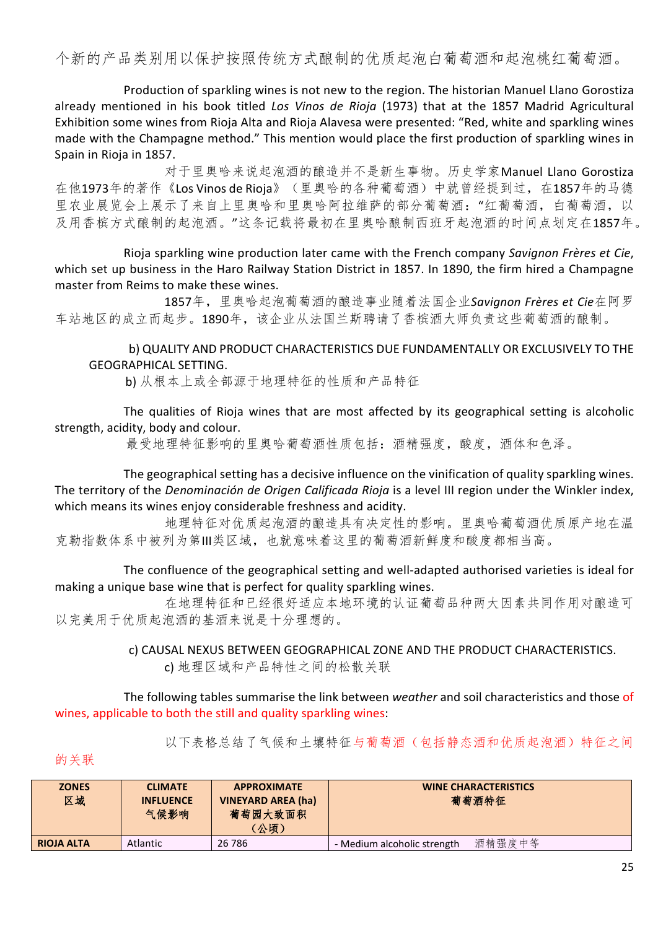个新的产品类别用以保护按照传统方式酿制的优质起泡白葡萄酒和起泡桃红葡萄酒。

Production of sparkling wines is not new to the region. The historian Manuel Llano Gorostiza already mentioned in his book titled *Los Vinos de Rioja* (1973) that at the 1857 Madrid Agricultural Exhibition some wines from Rioja Alta and Rioja Alavesa were presented: "Red, white and sparkling wines made with the Champagne method." This mention would place the first production of sparkling wines in Spain in Rioja in 1857.

对于里奥哈来说起泡酒的酿造并不是新生事物。历史学家Manuel Llano Gorostiza 在他1973年的著作《Los Vinos de Rioja》(里奥哈的各种葡萄酒)中就曾经提到过,在1857年的马德 里农业展览会上展示了来自上里奥哈和里奥哈阿拉维萨的部分葡萄酒:"红葡萄酒,白葡萄酒,以 及用香槟方式酿制的起泡酒。"这条记载将最初在里奥哈酿制西班牙起泡酒的时间点划定在1857年。

Rioja sparkling wine production later came with the French company *Savignon Frères et Cie*, which set up business in the Haro Railway Station District in 1857. In 1890, the firm hired a Champagne master from Reims to make these wines.

1857年,里奥哈起泡葡萄酒的酿造事业随着法国企业*Savignon Frères et Cie*在阿罗 车站地区的成立而起步。1890年,该企业从法国兰斯聘请了香槟酒大师负责这些葡萄酒的酿制。

b) QUALITY AND PRODUCT CHARACTERISTICS DUE FUNDAMENTALLY OR EXCLUSIVELY TO THE GEOGRAPHICAL SETTING.

b) 从根本上或全部源于地理特征的性质和产品特征

The qualities of Rioja wines that are most affected by its geographical setting is alcoholic strength, acidity, body and colour.

最受地理特征影响的里奥哈葡萄酒性质包括: 酒精强度, 酸度, 酒体和色泽。

The geographical setting has a decisive influence on the vinification of quality sparkling wines. The territory of the *Denominación de Origen Calificada Rioja* is a level III region under the Winkler index, which means its wines enjoy considerable freshness and acidity.

地理特征对优质起泡酒的酿造具有决定性的影响。里奥哈葡萄酒优质原产地在温 克勒指数体系中被列为第III类区域,也就意味着这里的葡萄酒新鲜度和酸度都相当高。

The confluence of the geographical setting and well-adapted authorised varieties is ideal for making a unique base wine that is perfect for quality sparkling wines.

在地理特征和已经很好适应本地环境的认证葡萄品种两大因素共同作用对酿造可 以完美用于优质起泡酒的基酒来说是十分理想的。

> c) CAUSAL NEXUS BETWEEN GEOGRAPHICAL ZONE AND THE PRODUCT CHARACTERISTICS. c) 地理区域和产品特性之间的松散关联

The following tables summarise the link between *weather* and soil characteristics and those of wines, applicable to both the still and quality sparkling wines:

以下表格总结了气候和土壤特征与葡萄酒(包括静态酒和优质起泡酒)特征之间

的关联

| <b>ZONES</b><br>区域 | <b>CLIMATE</b><br><b>INFLUENCE</b><br>气候影响 | <b>APPROXIMATE</b><br><b>VINEYARD AREA (ha)</b><br>葡萄园大致面积<br>(公顷) | <b>WINE CHARACTERISTICS</b><br>葡萄酒特征  |
|--------------------|--------------------------------------------|--------------------------------------------------------------------|---------------------------------------|
| <b>RIOJA ALTA</b>  | Atlantic                                   | 26 786                                                             | 酒精强度中等<br>- Medium alcoholic strength |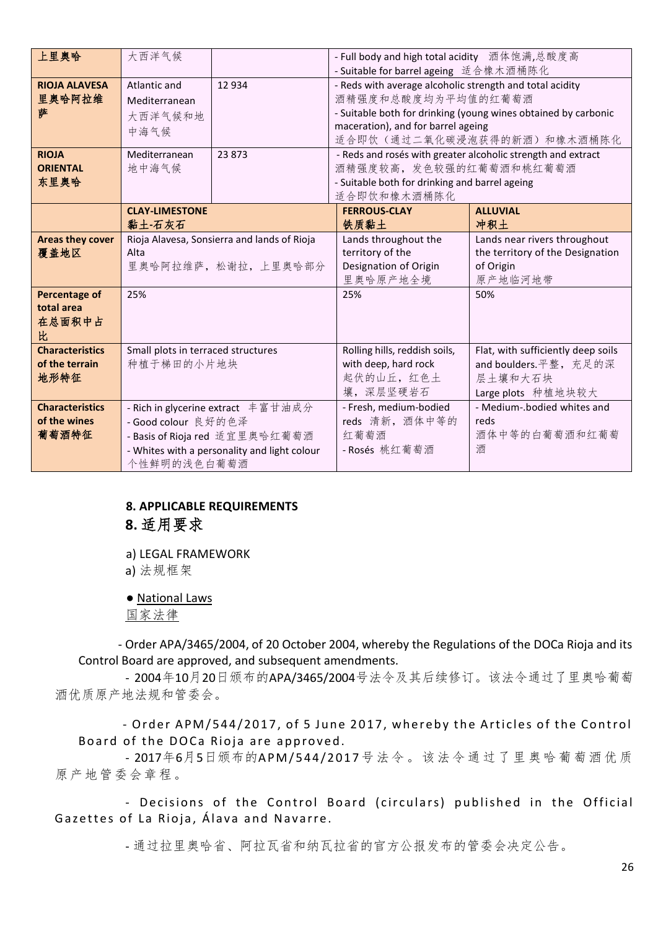| 上里奥哈                    | 大西洋气候                              | - Full body and high total acidity 酒体饱满,总酸度高 |                                                              |                                                                |  |
|-------------------------|------------------------------------|----------------------------------------------|--------------------------------------------------------------|----------------------------------------------------------------|--|
|                         |                                    |                                              | - Suitable for barrel ageing 适合橡木酒桶陈化                        |                                                                |  |
| <b>RIOJA ALAVESA</b>    | Atlantic and                       | 12 9 34                                      | - Reds with average alcoholic strength and total acidity     |                                                                |  |
| 里奥哈阿拉维                  | Mediterranean                      |                                              | 酒精强度和总酸度均为平均值的红葡萄酒                                           |                                                                |  |
| 萨                       | 大西洋气候和地                            |                                              |                                                              | - Suitable both for drinking (young wines obtained by carbonic |  |
|                         | 中海气候                               |                                              | maceration), and for barrel ageing                           |                                                                |  |
|                         |                                    |                                              |                                                              | 适合即饮(通过二氧化碳浸泡获得的新酒)和橡木酒桶陈化                                     |  |
| <b>RIOJA</b>            | Mediterranean                      | 23 873                                       | - Reds and rosés with greater alcoholic strength and extract |                                                                |  |
| <b>ORIENTAL</b>         | 地中海气候                              |                                              | 酒精强度较高,发色较强的红葡萄酒和桃红葡萄酒                                       |                                                                |  |
| 东里奥哈                    |                                    |                                              | - Suitable both for drinking and barrel ageing               |                                                                |  |
|                         |                                    |                                              | 适合即饮和橡木酒桶陈化                                                  |                                                                |  |
|                         | <b>CLAY-LIMESTONE</b>              |                                              | <b>FERROUS-CLAY</b>                                          | <b>ALLUVIAL</b>                                                |  |
|                         | 黏土-石灰石                             |                                              | 铁质黏土                                                         | 冲积土                                                            |  |
| <b>Areas they cover</b> |                                    | Rioja Alavesa, Sonsierra and lands of Rioja  | Lands throughout the                                         | Lands near rivers throughout                                   |  |
| 覆盖地区                    | Alta                               |                                              | territory of the                                             | the territory of the Designation                               |  |
|                         |                                    | 里奥哈阿拉维萨, 松谢拉, 上里奥哈部分                         | Designation of Origin                                        | of Origin                                                      |  |
|                         |                                    |                                              | 里奥哈原产地全境                                                     | 原产地临河地带                                                        |  |
| <b>Percentage of</b>    | 25%                                |                                              | 25%                                                          | 50%                                                            |  |
| total area              |                                    |                                              |                                                              |                                                                |  |
| 在总面积中占                  |                                    |                                              |                                                              |                                                                |  |
| 比                       |                                    |                                              |                                                              |                                                                |  |
| <b>Characteristics</b>  | Small plots in terraced structures |                                              | Rolling hills, reddish soils,                                | Flat, with sufficiently deep soils                             |  |
| of the terrain          | 种植于梯田的小片地块                         |                                              | with deep, hard rock                                         | and boulders. 平整, 充足的深                                         |  |
| 地形特征                    |                                    |                                              | 起伏的山丘, 红色土                                                   | 层土壤和大石块                                                        |  |
|                         |                                    |                                              | 壤,深层坚硬岩石                                                     | Large plots 种植地块较大                                             |  |
| <b>Characteristics</b>  |                                    | - Rich in glycerine extract 丰富甘油成分           | - Fresh, medium-bodied                                       | - Medium-.bodied whites and                                    |  |
| of the wines            | - Good colour 良好的色泽                |                                              | reds 清新, 酒体中等的                                               | reds                                                           |  |
| 葡萄酒特征                   |                                    | - Basis of Rioja red 适宜里奥哈红葡萄酒               | 红葡萄酒                                                         | 酒体中等的白葡萄酒和红葡萄                                                  |  |
|                         |                                    | - Whites with a personality and light colour | - Rosés 桃红葡萄酒                                                | 酒                                                              |  |
|                         | 个性鲜明的浅色白葡萄酒                        |                                              |                                                              |                                                                |  |

# **8. APPLICABLE REQUIREMENTS 8.** 适用要求

a) LEGAL FRAMEWORK

a) 法规框架

● National Laws

国家法律

- Order APA/3465/2004, of 20 October 2004, whereby the Regulations of the DOCa Rioja and its Control Board are approved, and subsequent amendments.

- 2004年10月20日颁布的APA/3465/2004号法令及其后续修订。该法令通过了里奥哈葡萄 酒优质原产地法规和管委会。

- Order APM/544/2017, of 5 June 2017, whereby the Articles of the Control Board of the DOCa Rioja are approved.

- 2017年6月5日颁布的APM/544/2017号法令。该法令通过了里奥哈葡萄酒优质 原产地管委会章程。

- Decisions of the Control Board (circulars) published in the Official Gazettes of La Rioja, Álava and Navarre.

- 通过拉里奥哈省、阿拉瓦省和纳瓦拉省的官方公报发布的管委会决定公告。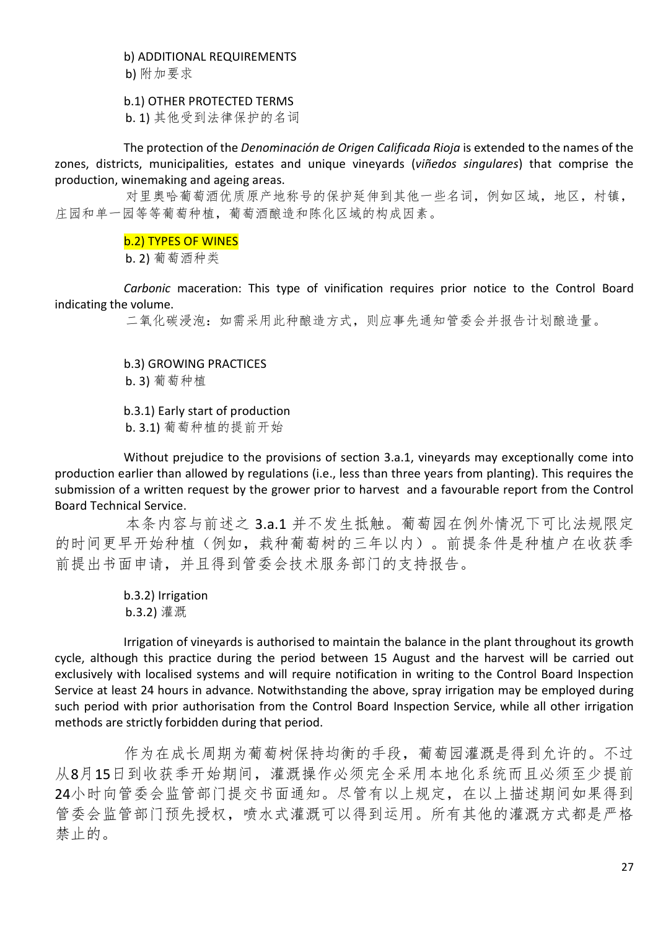b) ADDITIONAL REQUIREMENTS

b) 附加要求

#### b.1) OTHER PROTECTED TERMS

b. 1) 其他受到法律保护的名词

The protection of the *Denominación de Origen Calificada Rioja* is extended to the names of the zones, districts, municipalities, estates and unique vineyards (*viñedos singulares*) that comprise the production, winemaking and ageing areas.

对里奥哈葡萄酒优质原产地称号的保护延伸到其他一些名词,例如区域,地区,村镇, 庄园和单一园等等葡萄种植,葡萄酒酿造和陈化区域的构成因素。

#### b.2) TYPES OF WINES

b. 2) 葡萄酒种类

*Carbonic* maceration: This type of vinification requires prior notice to the Control Board indicating the volume.

二氧化碳浸泡:如需采用此种酿造方式,则应事先通知管委会并报告计划酿造量。

b.3) GROWING PRACTICES

b. 3) 葡萄种植

b.3.1) Early start of production

b. 3.1) 葡萄种植的提前开始

Without prejudice to the provisions of section 3.a.1, vineyards may exceptionally come into production earlier than allowed by regulations (i.e., less than three years from planting). This requires the submission of a written request by the grower prior to harvest and a favourable report from the Control Board Technical Service.

本条内容与前述之 3.a.1 并不发生抵触。葡萄园在例外情况下可比法规限定 的时间更早开始种植(例如,栽种葡萄树的三年以内)。前提条件是种植户在收获季 前提出书面申请,并且得到管委会技术服务部门的支持报告。

> b.3.2) Irrigation b.3.2) 灌溉

Irrigation of vineyards is authorised to maintain the balance in the plant throughout its growth cycle, although this practice during the period between 15 August and the harvest will be carried out exclusively with localised systems and will require notification in writing to the Control Board Inspection Service at least 24 hours in advance. Notwithstanding the above, spray irrigation may be employed during such period with prior authorisation from the Control Board Inspection Service, while all other irrigation methods are strictly forbidden during that period.

作为在成长周期为葡萄树保持均衡的手段,葡萄园灌溉是得到允许的。不过 从8月15日到收获季开始期间,灌溉操作必须完全采用本地化系统而且必须至少提前 24小时向管委会监管部门提交书面通知。尽管有以上规定,在以上描述期间如果得到 管委会监管部门预先授权,喷水式灌溉可以得到运用。所有其他的灌溉方式都是严格 禁止的。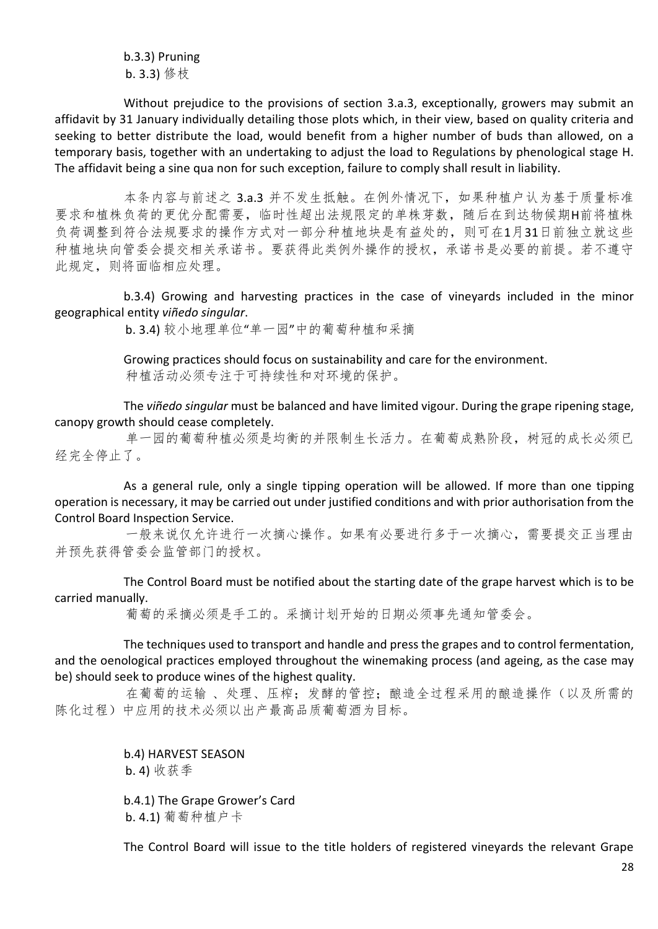b.3.3) Pruning b. 3.3) 修枝

Without prejudice to the provisions of section 3.a.3, exceptionally, growers may submit an affidavit by 31 January individually detailing those plots which, in their view, based on quality criteria and seeking to better distribute the load, would benefit from a higher number of buds than allowed, on a temporary basis, together with an undertaking to adjust the load to Regulations by phenological stage H. The affidavit being a sine qua non for such exception, failure to comply shall result in liability.

本条内容与前述之 3.a.3 并不发生抵触。在例外情况下, 如果种植户认为基于质量标准 要求和植株负荷的更优分配需要,临时性超出法规限定的单株芽数,随后在到达物候期H前将植株 负荷调整到符合法规要求的操作方式对一部分种植地块是有益处的,则可在1月31日前独立就这些 种植地块向管委会提交相关承诺书。要获得此类例外操作的授权,承诺书是必要的前提。若不遵守 此规定,则将面临相应处理。

b.3.4) Growing and harvesting practices in the case of vineyards included in the minor geographical entity *viñedo singular*.

b. 3.4) 较小地理单位"单一园"中的葡萄种植和采摘

Growing practices should focus on sustainability and care for the environment. 种植活动必须专注于可持续性和对环境的保护。

The *viñedo singular* must be balanced and have limited vigour. During the grape ripening stage, canopy growth should cease completely.

单一园的葡萄种植必须是均衡的并限制生长活力。在葡萄成熟阶段,树冠的成长必须已 经完全停止了。

As a general rule, only a single tipping operation will be allowed. If more than one tipping operation is necessary, it may be carried out under justified conditions and with prior authorisation from the Control Board Inspection Service.

一般来说仅允许进行一次摘心操作。如果有必要进行多于一次摘心,需要提交正当理由 并预先获得管委会监管部门的授权。

The Control Board must be notified about the starting date of the grape harvest which is to be carried manually.

葡萄的采摘必须是手工的。采摘计划开始的日期必须事先通知管委会。

The techniques used to transport and handle and press the grapes and to control fermentation, and the oenological practices employed throughout the winemaking process (and ageing, as the case may be) should seek to produce wines of the highest quality.

在葡萄的运输 、处理、压榨;发酵的管控;酿造全过程采用的酿造操作(以及所需的 陈化过程)中应用的技术必须以出产最高品质葡萄酒为目标。

> b.4) HARVEST SEASON b. 4) 收获季

b.4.1) The Grape Grower's Card b. 4.1) 葡萄种植户卡

The Control Board will issue to the title holders of registered vineyards the relevant Grape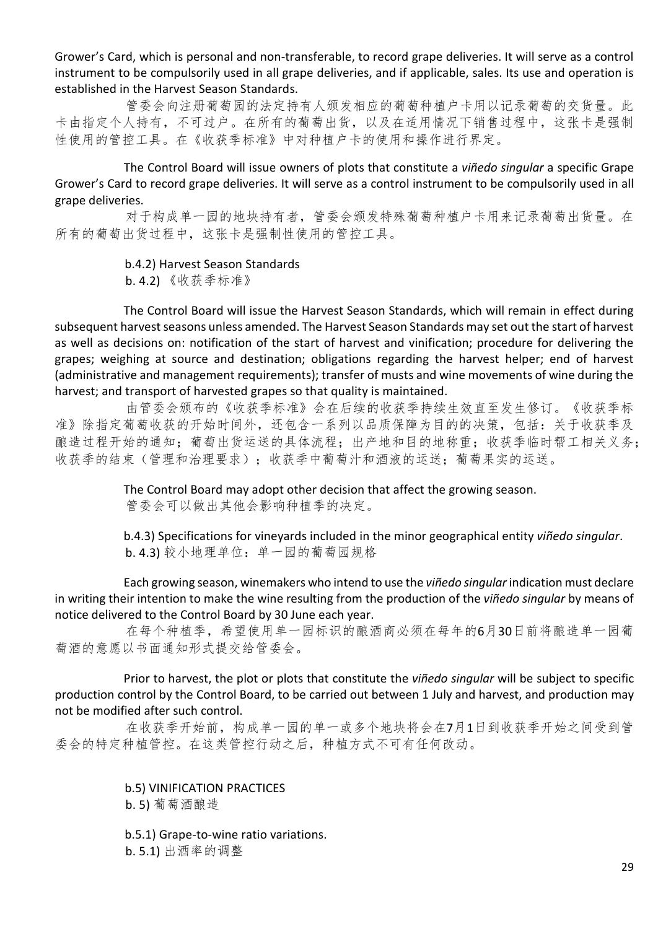Grower's Card, which is personal and non-transferable, to record grape deliveries. It will serve as a control instrument to be compulsorily used in all grape deliveries, and if applicable, sales. Its use and operation is established in the Harvest Season Standards.

管委会向注册葡萄园的法定持有人颁发相应的葡萄种植户卡用以记录葡萄的交货量。此 卡由指定个人持有,不可过户。在所有的葡萄出货,以及在适用情况下销售过程中,这张卡是强制 性使用的管控工具。在《收获季标准》中对种植户卡的使用和操作进行界定。

The Control Board will issue owners of plots that constitute a *viñedo singular* a specific Grape Grower's Card to record grape deliveries. It will serve as a control instrument to be compulsorily used in all grape deliveries.

对于构成单一园的地块持有者,管委会颁发特殊葡萄种植户卡用来记录葡萄出货量。在 所有的葡萄出货过程中,这张卡是强制性使用的管控工具。

b.4.2) Harvest Season Standards

b. 4.2) 《收获季标准》

The Control Board will issue the Harvest Season Standards, which will remain in effect during subsequent harvest seasons unless amended. The Harvest Season Standards may set out the start of harvest as well as decisions on: notification of the start of harvest and vinification; procedure for delivering the grapes; weighing at source and destination; obligations regarding the harvest helper; end of harvest (administrative and management requirements); transfer of musts and wine movements of wine during the harvest; and transport of harvested grapes so that quality is maintained.

由管委会颁布的《收获季标准》会在后续的收获季持续生效直至发生修订。《收获季标 准》除指定葡萄收获的开始时间外,还包含一系列以品质保障为目的的决策,包括:关于收获季及 酿造过程开始的通知;葡萄出货运送的具体流程;出产地和目的地称重;收获季临时帮工相关义务; 收获季的结束(管理和治理要求);收获季中葡萄汁和酒液的运送;葡萄果实的运送。

> The Control Board may adopt other decision that affect the growing season. 管委会可以做出其他会影响种植季的决定。

b.4.3) Specifications for vineyards included in the minor geographical entity *viñedo singular*. b. 4.3) 较小地理单位: 单一园的葡萄园规格

Each growing season, winemakers who intend to use the *viñedo singular* indication must declare in writing their intention to make the wine resulting from the production of the *viñedo singular* by means of notice delivered to the Control Board by 30 June each year.

在每个种植季,希望使用单一园标识的酿酒商必须在每年的6月30日前将酿造单一园葡 萄酒的意愿以书面通知形式提交给管委会。

Prior to harvest, the plot or plots that constitute the *viñedo singular* will be subject to specific production control by the Control Board, to be carried out between 1 July and harvest, and production may not be modified after such control.

在收获季开始前,构成单一园的单一或多个地块将会在7月1日到收获季开始之间受到管 委会的特定种植管控。在这类管控行动之后,种植方式不可有任何改动。

b.5) VINIFICATION PRACTICES

b. 5) 葡萄酒酿造

b.5.1) Grape-to-wine ratio variations. b. 5.1) 出酒率的调整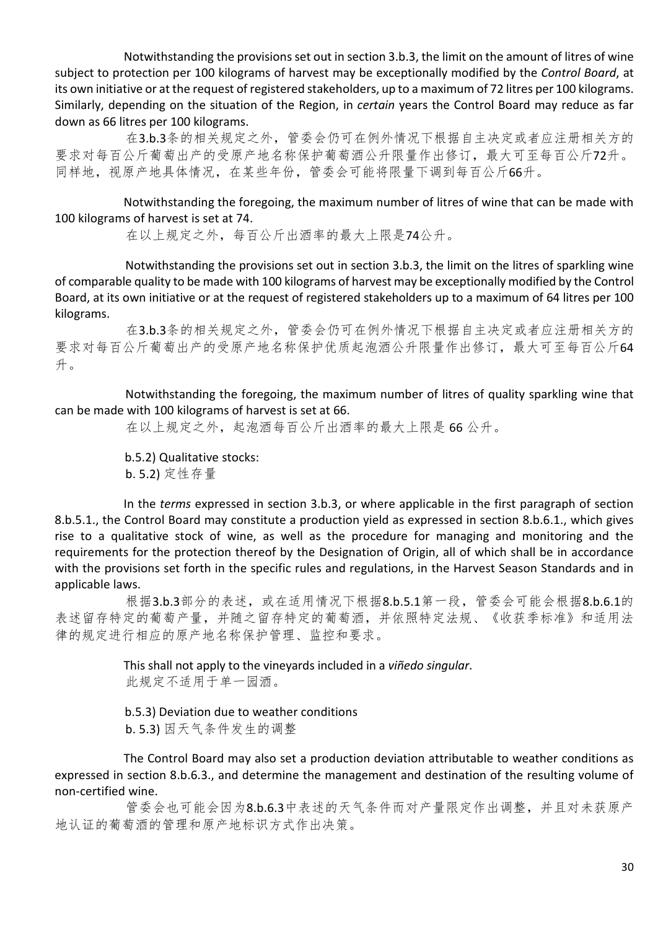Notwithstanding the provisions set out in section 3.b.3, the limit on the amount of litres of wine subject to protection per 100 kilograms of harvest may be exceptionally modified by the *Control Board*, at its own initiative or at the request of registered stakeholders, up to a maximum of 72 litres per 100 kilograms. Similarly, depending on the situation of the Region, in *certain* years the Control Board may reduce as far down as 66 litres per 100 kilograms.

在3.b.3条的相关规定之外,管委会仍可在例外情况下根据自主决定或者应注册相关方的 要求对每百公斤葡萄出产的受原产地名称保护葡萄酒公升限量作出修订,最大可至每百公斤72升。 同样地,视原产地具体情况,在某些年份,管委会可能将限量下调到每百公斤66升。

Notwithstanding the foregoing, the maximum number of litres of wine that can be made with 100 kilograms of harvest is set at 74.

在以上规定之外,每百公斤出酒率的最大上限是74公升。

Notwithstanding the provisions set out in section 3.b.3, the limit on the litres of sparkling wine of comparable quality to be made with 100 kilograms of harvest may be exceptionally modified by the Control Board, at its own initiative or at the request of registered stakeholders up to a maximum of 64 litres per 100 kilograms.

在3.b.3条的相关规定之外,管委会仍可在例外情况下根据自主决定或者应注册相关方的 要求对每百公斤葡萄出产的受原产地名称保护优质起泡酒公升限量作出修订,最大可至每百公斤64 升。

Notwithstanding the foregoing, the maximum number of litres of quality sparkling wine that can be made with 100 kilograms of harvest is set at 66.

在以上规定之外,起泡酒每百公斤出酒率的最大上限是 66 公升。

b.5.2) Qualitative stocks: b. 5.2) 定性存量

In the *terms* expressed in section 3.b.3, or where applicable in the first paragraph of section 8.b.5.1., the Control Board may constitute a production yield as expressed in section 8.b.6.1., which gives rise to a qualitative stock of wine, as well as the procedure for managing and monitoring and the requirements for the protection thereof by the Designation of Origin, all of which shall be in accordance with the provisions set forth in the specific rules and regulations, in the Harvest Season Standards and in applicable laws.

根据3.b.3部分的表述,或在适用情况下根据8.b.5.1第一段,管委会可能会根据8.b.6.1的 表述留存特定的葡萄产量,并随之留存特定的葡萄酒,并依照特定法规、《收获季标准》和适用法 律的规定进行相应的原产地名称保护管理、监控和要求。

> This shall not apply to the vineyards included in a *viñedo singular*. 此规定不适用于单一园酒。

b.5.3) Deviation due to weather conditions b. 5.3) 因天气条件发生的调整

The Control Board may also set a production deviation attributable to weather conditions as expressed in section 8.b.6.3., and determine the management and destination of the resulting volume of non-certified wine.

管委会也可能会因为8.b.6.3中表述的天气条件而对产量限定作出调整,并且对未获原产 地认证的葡萄酒的管理和原产地标识方式作出决策。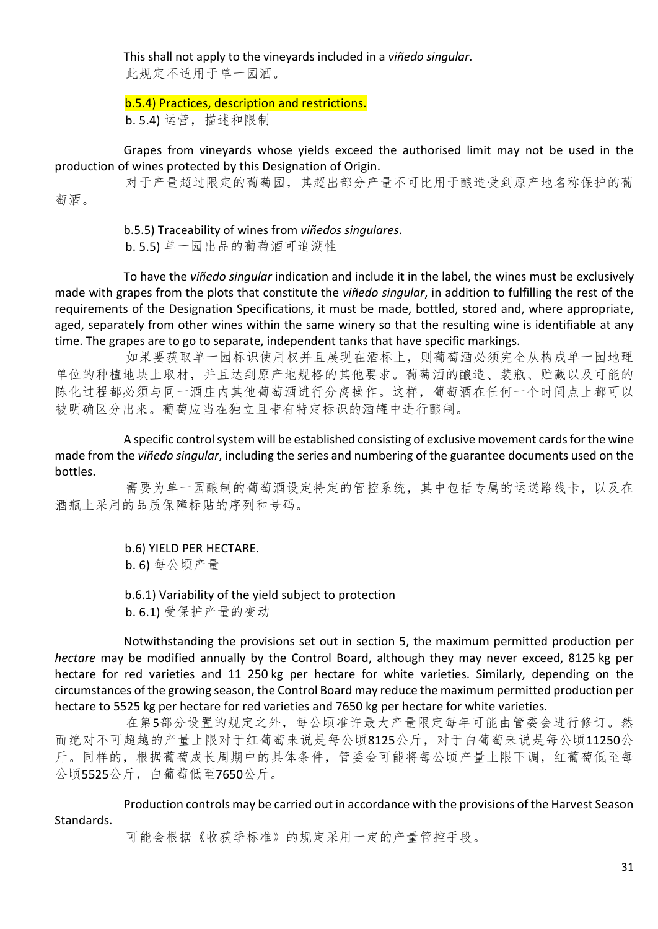This shall not apply to the vineyards included in a *viñedo singular*. 此规定不适用于单一园酒。

b.5.4) Practices, description and restrictions. b. 5.4) 运营, 描述和限制

Grapes from vineyards whose yields exceed the authorised limit may not be used in the production of wines protected by this Designation of Origin.

对于产量超过限定的葡萄园,其超出部分产量不可比用于酿造受到原产地名称保护的葡 萄酒。

> b.5.5) Traceability of wines from *viñedos singulares*. b. 5.5) 单一园出品的葡萄酒可追溯性

To have the *viñedo singular* indication and include it in the label, the wines must be exclusively made with grapes from the plots that constitute the *viñedo singular*, in addition to fulfilling the rest of the requirements of the Designation Specifications, it must be made, bottled, stored and, where appropriate, aged, separately from other wines within the same winery so that the resulting wine is identifiable at any time. The grapes are to go to separate, independent tanks that have specific markings.

如果要获取单一园标识使用权并且展现在酒标上,则葡萄酒必须完全从构成单一园地理 单位的种植地块上取材,并且达到原产地规格的其他要求。葡萄酒的酿造、装瓶、贮藏以及可能的 陈化过程都必须与同一酒庄内其他葡萄酒进行分离操作。这样,葡萄酒在任何一个时间点上都可以 被明确区分出来。葡萄应当在独立且带有特定标识的酒罐中进行酿制。

A specific control system will be established consisting of exclusive movement cards for the wine made from the *viñedo singular*, including the series and numbering of the guarantee documents used on the bottles.

需要为单一园酿制的葡萄酒设定特定的管控系统,其中包括专属的运送路线卡,以及在 酒瓶上采用的品质保障标贴的序列和号码。

> b.6) YIELD PER HECTARE. b. 6) 每公顷产量

b.6.1) Variability of the yield subject to protection b. 6.1) 受保护产量的变动

Notwithstanding the provisions set out in section 5, the maximum permitted production per *hectare* may be modified annually by the Control Board, although they may never exceed, 8125 kg per hectare for red varieties and 11 250 kg per hectare for white varieties. Similarly, depending on the circumstances of the growing season, the Control Board may reduce the maximum permitted production per hectare to 5525 kg per hectare for red varieties and 7650 kg per hectare for white varieties.

在第5部分设置的规定之外,每公顷准许最大产量限定每年可能由管委会进行修订。然 而绝对不可超越的产量上限对于红葡萄来说是每公顷8125公斤,对于白葡萄来说是每公顷11250公 斤。同样的,根据葡萄成长周期中的具体条件,管委会可能将每公顷产量上限下调,红葡萄低至每 公顷5525公斤,白葡萄低至7650公斤。

Production controls may be carried out in accordance with the provisions of the Harvest Season Standards.

可能会根据《收获季标准》的规定采用一定的产量管控手段。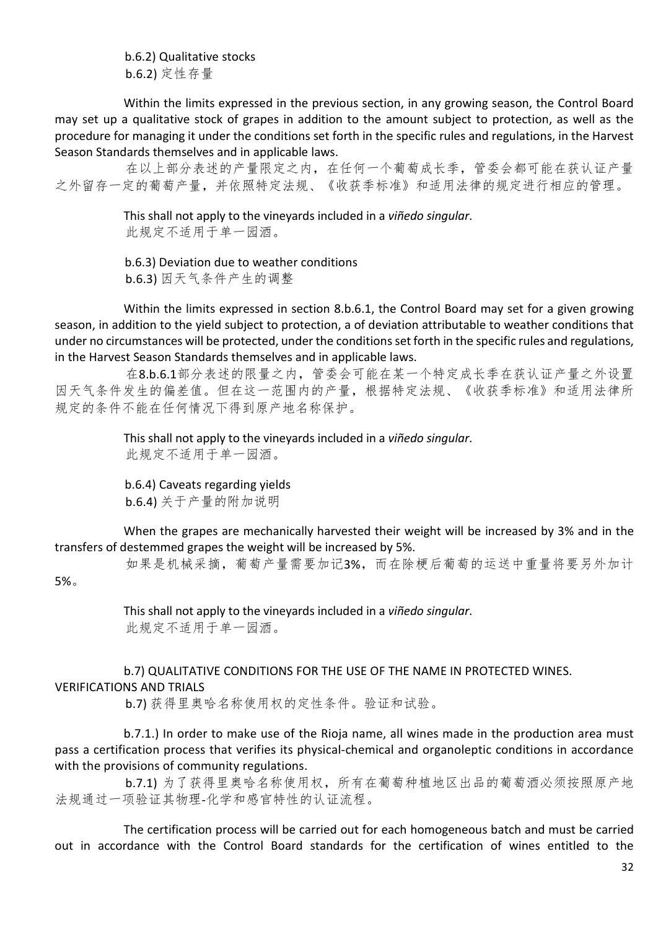b.6.2) Qualitative stocks b.6.2) 定性存量

Within the limits expressed in the previous section, in any growing season, the Control Board may set up a qualitative stock of grapes in addition to the amount subject to protection, as well as the procedure for managing it under the conditions set forth in the specific rules and regulations, in the Harvest Season Standards themselves and in applicable laws.

在以上部分表述的产量限定之内,在任何一个葡萄成长季,管委会都可能在获认证产量 之外留存一定的葡萄产量,并依照特定法规、《收获季标准》和适用法律的规定进行相应的管理。

> This shall not apply to the vineyards included in a *viñedo singular*. 此规定不适用于单一园酒。

b.6.3) Deviation due to weather conditions b.6.3) 因天气条件产生的调整

Within the limits expressed in section 8.b.6.1, the Control Board may set for a given growing season, in addition to the yield subject to protection, a of deviation attributable to weather conditions that under no circumstances will be protected, under the conditions set forth in the specific rules and regulations, in the Harvest Season Standards themselves and in applicable laws.

在8.b.6.1部分表述的限量之内,管委会可能在某一个特定成长季在获认证产量之外设置 因天气条件发生的偏差值。但在这一范围内的产量,根据特定法规、《收获季标准》和适用法律所 规定的条件不能在任何情况下得到原产地名称保护。

> This shall not apply to the vineyards included in a *viñedo singular*. 此规定不适用于单一园酒。

b.6.4) Caveats regarding yields b.6.4) 关于产量的附加说明

When the grapes are mechanically harvested their weight will be increased by 3% and in the transfers of destemmed grapes the weight will be increased by 5%.

如果是机械采摘,葡萄产量需要加记3%,而在除梗后葡萄的运送中重量将要另外加计 5%。

> This shall not apply to the vineyards included in a *viñedo singular*. 此规定不适用于单一园酒。

b.7) QUALITATIVE CONDITIONS FOR THE USE OF THE NAME IN PROTECTED WINES. VERIFICATIONS AND TRIALS

b.7) 获得里奥哈名称使用权的定性条件。验证和试验。

b.7.1.) In order to make use of the Rioja name, all wines made in the production area must pass a certification process that verifies its physical-chemical and organoleptic conditions in accordance with the provisions of community regulations.

b.7.1) 为了获得里奥哈名称使用权, 所有在葡萄种植地区出品的葡萄酒必须按照原产地 法规通过一项验证其物理-化学和感官特性的认证流程。

The certification process will be carried out for each homogeneous batch and must be carried out in accordance with the Control Board standards for the certification of wines entitled to the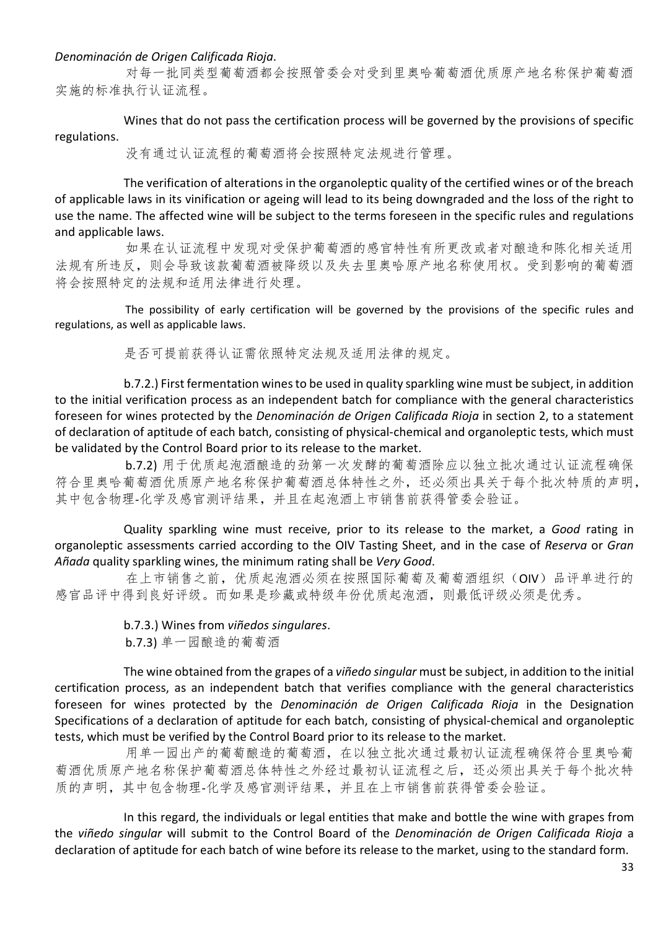#### *Denominación de Origen Calificada Rioja*.

对每一批同类型葡萄酒都会按照管委会对受到里奥哈葡萄酒优质原产地名称保护葡萄酒 实施的标准执行认证流程。

Wines that do not pass the certification process will be governed by the provisions of specific regulations.

没有通过认证流程的葡萄酒将会按照特定法规进行管理。

The verification of alterations in the organoleptic quality of the certified wines or of the breach of applicable laws in its vinification or ageing will lead to its being downgraded and the loss of the right to use the name. The affected wine will be subject to the terms foreseen in the specific rules and regulations and applicable laws.

如果在认证流程中发现对受保护葡萄酒的感官特性有所更改或者对酿造和陈化相关适用 法规有所违反,则会导致该款葡萄酒被降级以及失去里奥哈原产地名称使用权。受到影响的葡萄酒 将会按照特定的法规和适用法律进行处理。

The possibility of early certification will be governed by the provisions of the specific rules and regulations, as well as applicable laws.

是否可提前获得认证需依照特定法规及适用法律的规定。

b.7.2.) First fermentation wines to be used in quality sparkling wine must be subject, in addition to the initial verification process as an independent batch for compliance with the general characteristics foreseen for wines protected by the *Denominación de Origen Calificada Rioja* in section 2, to a statement of declaration of aptitude of each batch, consisting of physical-chemical and organoleptic tests, which must be validated by the Control Board prior to its release to the market.

b.7.2) 用于优质起泡酒酿造的劲第一次发酵的葡萄酒除应以独立批次通过认证流程确保 符合里奥哈葡萄酒优质原产地名称保护葡萄酒总体特性之外,还必须出具关于每个批次特质的声明, 其中包含物理-化学及感官测评结果,并且在起泡酒上市销售前获得管委会验证。

Quality sparkling wine must receive, prior to its release to the market, a *Good* rating in organoleptic assessments carried according to the OIV Tasting Sheet, and in the case of *Reserva* or *Gran Añada* quality sparkling wines, the minimum rating shall be *Very Good*.

在上市销售之前,优质起泡酒必须在按照国际葡萄及葡萄酒组织(OIV)品评单进行的 感官品评中得到良好评级。而如果是珍藏或特级年份优质起泡酒,则最低评级必须是优秀。

> b.7.3.) Wines from *viñedos singulares*. b.7.3) 单一园酿造的葡萄酒

The wine obtained from the grapes of a *viñedo singular* must be subject, in addition to the initial certification process, as an independent batch that verifies compliance with the general characteristics foreseen for wines protected by the *Denominación de Origen Calificada Rioja* in the Designation Specifications of a declaration of aptitude for each batch, consisting of physical-chemical and organoleptic tests, which must be verified by the Control Board prior to its release to the market.

用单一园出产的葡萄酿造的葡萄酒,在以独立批次通过最初认证流程确保符合里奥哈葡 萄酒优质原产地名称保护葡萄酒总体特性之外经过最初认证流程之后,还必须出具关于每个批次特 质的声明,其中包含物理-化学及感官测评结果,并且在上市销售前获得管委会验证。

In this regard, the individuals or legal entities that make and bottle the wine with grapes from the *viñedo singular* will submit to the Control Board of the *Denominación de Origen Calificada Rioja* a declaration of aptitude for each batch of wine before its release to the market, using to the standard form.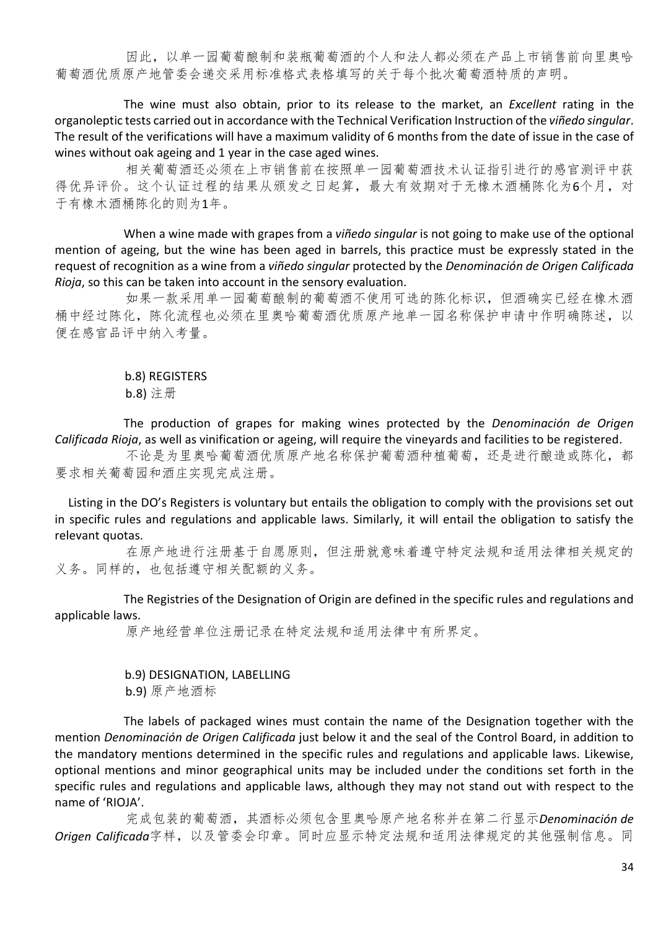因此,以单一园葡萄酿制和装瓶葡萄酒的个人和法人都必须在产品上市销售前向里奥哈 葡萄酒优质原产地管委会递交采用标准格式表格填写的关于每个批次葡萄酒特质的声明。

The wine must also obtain, prior to its release to the market, an *Excellent* rating in the organoleptic tests carried out in accordance with the Technical Verification Instruction of the *viñedo singular*. The result of the verifications will have a maximum validity of 6 months from the date of issue in the case of wines without oak ageing and 1 year in the case aged wines.

相关葡萄酒还必须在上市销售前在按照单一园葡萄酒技术认证指引进行的感官测评中获 得优异评价。这个认证过程的结果从颁发之日起算,最大有效期对于无橡木酒桶陈化为6个月,对 于有橡木酒桶陈化的则为1年。

When a wine made with grapes from a *viñedo singular* is not going to make use of the optional mention of ageing, but the wine has been aged in barrels, this practice must be expressly stated in the request of recognition as a wine from a *viñedo singular* protected by the *Denominación de Origen Calificada Rioja*, so this can be taken into account in the sensory evaluation.

如果一款采用单一园葡萄酿制的葡萄酒不使用可选的陈化标识,但酒确实已经在橡木酒 桶中经过陈化,陈化流程也必须在里奥哈葡萄酒优质原产地单一园名称保护申请中作明确陈述,以 便在感官品评中纳入考量。

> b.8) REGISTERS b.8) 注册

The production of grapes for making wines protected by the *Denominación de Origen Calificada Rioja*, as well as vinification or ageing, will require the vineyards and facilities to be registered.

不论是为里奥哈葡萄酒优质原产地名称保护葡萄酒种植葡萄,还是进行酿造或陈化,都 要求相关葡萄园和酒庄实现完成注册。

Listing in the DO's Registers is voluntary but entails the obligation to comply with the provisions set out in specific rules and regulations and applicable laws. Similarly, it will entail the obligation to satisfy the relevant quotas.

在原产地进行注册基于自愿原则,但注册就意味着遵守特定法规和适用法律相关规定的 义务。同样的,也包括遵守相关配额的义务。

The Registries of the Designation of Origin are defined in the specific rules and regulations and applicable laws.

原产地经营单位注册记录在特定法规和适用法律中有所界定。

b.9) DESIGNATION, LABELLING

b.9) 原产地酒标

The labels of packaged wines must contain the name of the Designation together with the mention *Denominación de Origen Calificada* just below it and the seal of the Control Board, in addition to the mandatory mentions determined in the specific rules and regulations and applicable laws. Likewise, optional mentions and minor geographical units may be included under the conditions set forth in the specific rules and regulations and applicable laws, although they may not stand out with respect to the name of 'RIOJA'.

完成包装的葡萄酒,其酒标必须包含里奥哈原产地名称并在第二行显示*Denominación de Origen Calificada*字样,以及管委会印章。同时应显示特定法规和适用法律规定的其他强制信息。同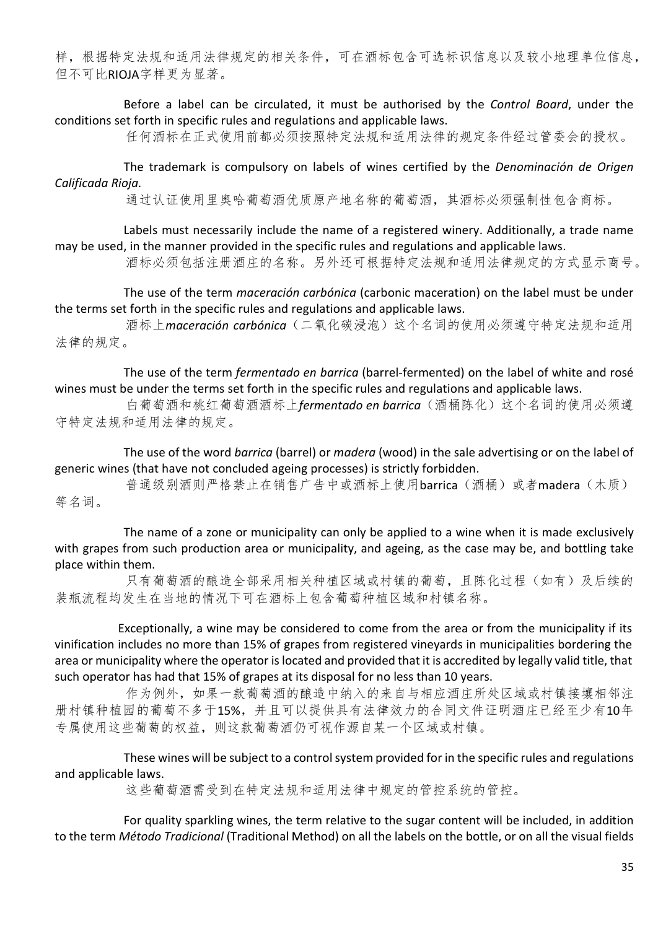样,根据特定法规和适用法律规定的相关条件,可在酒标包含可选标识信息以及较小地理单位信息, 但不可比RIOJA字样更为显著。

Before a label can be circulated, it must be authorised by the *Control Board*, under the conditions set forth in specific rules and regulations and applicable laws.

任何酒标在正式使用前都必须按照特定法规和适用法律的规定条件经过管委会的授权。

The trademark is compulsory on labels of wines certified by the *Denominación de Origen Calificada Rioja.*

通过认证使用里奥哈葡萄酒优质原产地名称的葡萄酒,其酒标必须强制性包含商标。

Labels must necessarily include the name of a registered winery. Additionally, a trade name may be used, in the manner provided in the specific rules and regulations and applicable laws.

酒标必须包括注册酒庄的名称。另外还可根据特定法规和适用法律规定的方式显示商号。

The use of the term *maceración carbónica* (carbonic maceration) on the label must be under the terms set forth in the specific rules and regulations and applicable laws.

酒标上*maceración carbónica*(二氧化碳浸泡)这个名词的使用必须遵守特定法规和适用 法律的规定。

The use of the term *fermentado en barrica* (barrel-fermented) on the label of white and rosé wines must be under the terms set forth in the specific rules and regulations and applicable laws.

白葡萄酒和桃红葡萄酒酒标上*fermentado en barrica*(酒桶陈化)这个名词的使用必须遵 守特定法规和适用法律的规定。

The use of the word *barrica* (barrel) or *madera* (wood) in the sale advertising or on the label of generic wines (that have not concluded ageing processes) is strictly forbidden.

普通级别酒则严格禁止在销售广告中或酒标上使用barrica(酒桶)或者madera(木质) 等名词。

The name of a zone or municipality can only be applied to a wine when it is made exclusively with grapes from such production area or municipality, and ageing, as the case may be, and bottling take place within them.

只有葡萄酒的酿造全部采用相关种植区域或村镇的葡萄,且陈化过程(如有)及后续的 装瓶流程均发生在当地的情况下可在酒标上包含葡萄种植区域和村镇名称。

Exceptionally, a wine may be considered to come from the area or from the municipality if its vinification includes no more than 15% of grapes from registered vineyards in municipalities bordering the area or municipality where the operator is located and provided that it is accredited by legally valid title, that such operator has had that 15% of grapes at its disposal for no less than 10 years.

作为例外,如果一款葡萄酒的酿造中纳入的来自与相应酒庄所处区域或村镇接壤相邻注 册村镇种植园的葡萄不多于15%,并且可以提供具有法律效力的合同文件证明酒庄已经至少有10年 专属使用这些葡萄的权益,则这款葡萄酒仍可视作源自某一个区域或村镇。

These wines will be subject to a control system provided for in the specific rules and regulations and applicable laws.

这些葡萄酒需受到在特定法规和适用法律中规定的管控系统的管控。

For quality sparkling wines, the term relative to the sugar content will be included, in addition to the term *Método Tradicional* (Traditional Method) on all the labels on the bottle, or on all the visual fields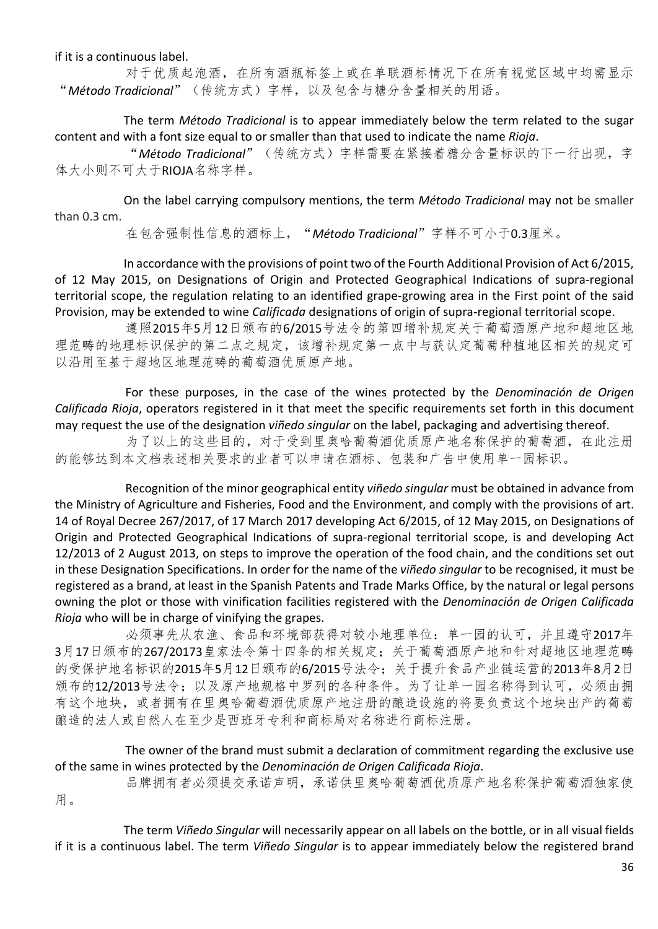if it is a continuous label.

对于优质起泡酒,在所有酒瓶标签上或在单联酒标情况下在所有视觉区域中均需显示 "*Método Tradicional*"(传统方式)字样,以及包含与糖分含量相关的用语。

The term *Método Tradicional* is to appear immediately below the term related to the sugar content and with a font size equal to or smaller than that used to indicate the name *Rioja*.

"*Método Tradicional*"(传统方式)字样需要在紧接着糖分含量标识的下一行出现,字 体大小则不可大于RIOJA名称字样。

On the label carrying compulsory mentions, the term *Método Tradicional* may not be smaller than 0.3 cm.

在包含强制性信息的酒标上,"*Método Tradicional*"字样不可小于0.3厘米。

In accordance with the provisions of point two of the Fourth Additional Provision of Act 6/2015, of 12 May 2015, on Designations of Origin and Protected Geographical Indications of supra-regional territorial scope, the regulation relating to an identified grape-growing area in the First point of the said Provision, may be extended to wine *Calificada* designations of origin of supra-regional territorial scope.

遵照2015年5月12日颁布的6/2015号法令的第四增补规定关于葡萄酒原产地和超地区地 理范畴的地理标识保护的第二点之规定,该增补规定第一点中与获认定葡萄种植地区相关的规定可 以沿用至基于超地区地理范畴的葡萄酒优质原产地。

For these purposes, in the case of the wines protected by the *Denominación de Origen Calificada Rioja*, operators registered in it that meet the specific requirements set forth in this document may request the use of the designation *viñedo singular* on the label, packaging and advertising thereof.

为了以上的这些目的,对于受到里奥哈葡萄酒优质原产地名称保护的葡萄酒,在此注册 的能够达到本文档表述相关要求的业者可以申请在酒标、包装和广告中使用单一园标识。

Recognition of the minor geographical entity *viñedo singular* must be obtained in advance from the Ministry of Agriculture and Fisheries, Food and the Environment, and comply with the provisions of art. 14 of Royal Decree 267/2017, of 17 March 2017 developing Act 6/2015, of 12 May 2015, on Designations of Origin and Protected Geographical Indications of supra-regional territorial scope, is and developing Act 12/2013 of 2 August 2013, on steps to improve the operation of the food chain, and the conditions set out in these Designation Specifications. In order for the name of the *viñedo singular* to be recognised, it must be registered as a brand, at least in the Spanish Patents and Trade Marks Office, by the natural or legal persons owning the plot or those with vinification facilities registered with the *Denominación de Origen Calificada Rioja* who will be in charge of vinifying the grapes.

必须事先从农渔、食品和环境部获得对较小地理单位:单一园的认可,并且遵守2017年 3月17日颁布的267/20173皇家法令第十四条的相关规定;关于葡萄酒原产地和针对超地区地理范畴 的受保护地名标识的2015年5月12日颁布的6/2015号法令;关于提升食品产业链运营的2013年8月2日 颁布的12/2013号法令;以及原产地规格中罗列的各种条件。为了让单一园名称得到认可,必须由拥 有这个地块,或者拥有在里奥哈葡萄酒优质原产地注册的酿造设施的将要负责这个地块出产的葡萄 酿造的法人或自然人在至少是西班牙专利和商标局对名称进行商标注册。

The owner of the brand must submit a declaration of commitment regarding the exclusive use of the same in wines protected by the *Denominación de Origen Calificada Rioja*.

品牌拥有者必须提交承诺声明,承诺供里奥哈葡萄酒优质原产地名称保护葡萄酒独家使 用。

The term *Viñedo Singular* will necessarily appear on all labels on the bottle, or in all visual fields if it is a continuous label. The term *Viñedo Singular* is to appear immediately below the registered brand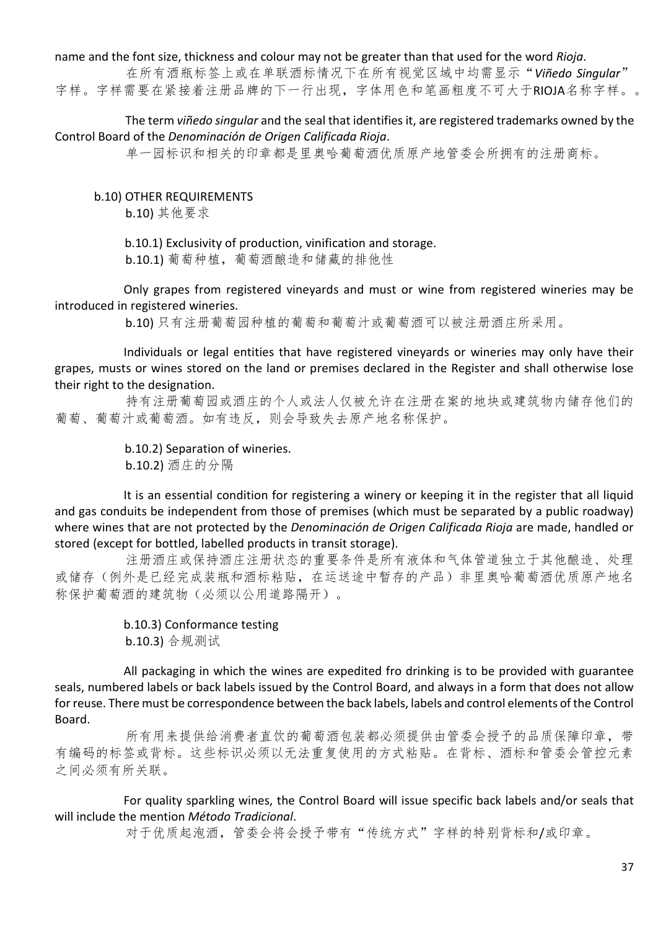#### name and the font size, thickness and colour may not be greater than that used for the word *Rioja*.

在所有酒瓶标签上或在单联酒标情况下在所有视觉区域中均需显示"*Viñedo Singular*" 字样。字样需要在紧接着注册品牌的下一行出现,字体用色和笔画粗度不可大于RIOJA名称字样。。

The term *viñedo singular* and the seal that identifies it, are registered trademarks owned by the Control Board of the *Denominación de Origen Calificada Rioja*.

单一园标识和相关的印章都是里奥哈葡萄酒优质原产地管委会所拥有的注册商标。

#### b.10) OTHER REQUIREMENTS

b.10) 其他要求

b.10.1) Exclusivity of production, vinification and storage.

b.10.1) 葡萄种植,葡萄酒酿造和储藏的排他性

Only grapes from registered vineyards and must or wine from registered wineries may be introduced in registered wineries.

b.10) 只有注册葡萄园种植的葡萄和葡萄汁或葡萄酒可以被注册酒庄所采用。

Individuals or legal entities that have registered vineyards or wineries may only have their grapes, musts or wines stored on the land or premises declared in the Register and shall otherwise lose their right to the designation.

持有注册葡萄园或酒庄的个人或法人仅被允许在注册在案的地块或建筑物内储存他们的 葡萄、葡萄汁或葡萄酒。如有违反,则会导致失去原产地名称保护。

> b.10.2) Separation of wineries. b.10.2) 酒庄的分隔

It is an essential condition for registering a winery or keeping it in the register that all liquid and gas conduits be independent from those of premises (which must be separated by a public roadway) where wines that are not protected by the *Denominación de Origen Calificada Rioja* are made, handled or stored (except for bottled, labelled products in transit storage).

注册酒庄或保持酒庄注册状态的重要条件是所有液体和气体管道独立于其他酿造、处理 或储存(例外是已经完成装瓶和酒标粘贴,在运送途中暂存的产品)非里奥哈葡萄酒优质原产地名 称保护葡萄酒的建筑物(必须以公用道路隔开)。

# b.10.3) Conformance testing

b.10.3) 合规测试

All packaging in which the wines are expedited fro drinking is to be provided with guarantee seals, numbered labels or back labels issued by the Control Board, and always in a form that does not allow for reuse. There must be correspondence between the back labels, labels and control elements of the Control Board.

所有用来提供给消费者直饮的葡萄酒包装都必须提供由管委会授予的品质保障印章,带 有编码的标签或背标。这些标识必须以无法重复使用的方式粘贴。在背标、酒标和管委会管控元素 之间必须有所关联。

For quality sparkling wines, the Control Board will issue specific back labels and/or seals that will include the mention *Método Tradicional*.

对于优质起泡酒,管委会将会授予带有"传统方式"字样的特别背标和/或印章。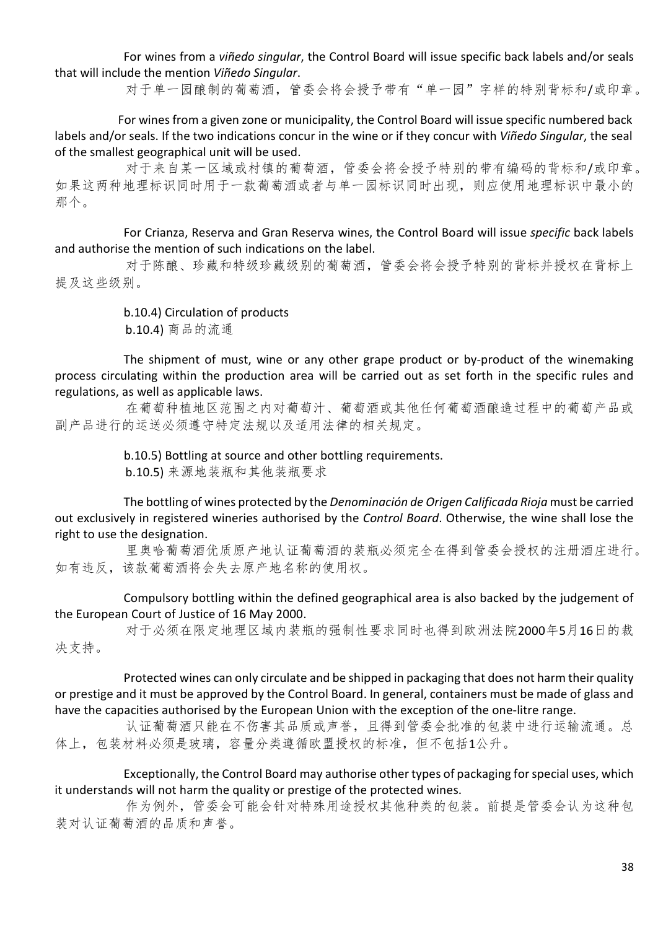For wines from a *viñedo singular*, the Control Board will issue specific back labels and/or seals that will include the mention *Viñedo Singular*.

对于单一园酿制的葡萄酒,管委会将会授予带有"单一园"字样的特别背标和/或印章。

For wines from a given zone or municipality, the Control Board will issue specific numbered back labels and/or seals. If the two indications concur in the wine or if they concur with *Viñedo Singular*, the seal of the smallest geographical unit will be used.

对于来自某一区域或村镇的葡萄酒,管委会将会授予特别的带有编码的背标和/或印章。 如果这两种地理标识同时用于一款葡萄酒或者与单一园标识同时出现,则应使用地理标识中最小的 那个。

For Crianza, Reserva and Gran Reserva wines, the Control Board will issue *specific* back labels and authorise the mention of such indications on the label.

对于陈酿、珍藏和特级珍藏级别的葡萄酒,管委会将会授予特别的背标并授权在背标上 提及这些级别。

#### b.10.4) Circulation of products

b.10.4) 商品的流通

The shipment of must, wine or any other grape product or by-product of the winemaking process circulating within the production area will be carried out as set forth in the specific rules and regulations, as well as applicable laws.

在葡萄种植地区范围之内对葡萄汁、葡萄酒或其他任何葡萄酒酿造过程中的葡萄产品或 副产品进行的运送必须遵守特定法规以及适用法律的相关规定。

> b.10.5) Bottling at source and other bottling requirements. b.10.5) 来源地装瓶和其他装瓶要求

The bottling of wines protected by the *Denominación de Origen Calificada Rioja* must be carried out exclusively in registered wineries authorised by the *Control Board*. Otherwise, the wine shall lose the right to use the designation.

里奥哈葡萄酒优质原产地认证葡萄酒的装瓶必须完全在得到管委会授权的注册酒庄进行。 如有违反,该款葡萄酒将会失去原产地名称的使用权。

Compulsory bottling within the defined geographical area is also backed by the judgement of the European Court of Justice of 16 May 2000.

对于必须在限定地理区域内装瓶的强制性要求同时也得到欧洲法院2000年5月16日的裁 决支持。

Protected wines can only circulate and be shipped in packaging that does not harm their quality or prestige and it must be approved by the Control Board. In general, containers must be made of glass and have the capacities authorised by the European Union with the exception of the one-litre range.

认证葡萄酒只能在不伤害其品质或声誉,且得到管委会批准的包装中进行运输流通。总 体上,包装材料必须是玻璃,容量分类遵循欧盟授权的标准,但不包括1公升。

Exceptionally, the Control Board may authorise other types of packaging for special uses, which it understands will not harm the quality or prestige of the protected wines.

作为例外,管委会可能会针对特殊用途授权其他种类的包装。前提是管委会认为这种包 装对认证葡萄酒的品质和声誉。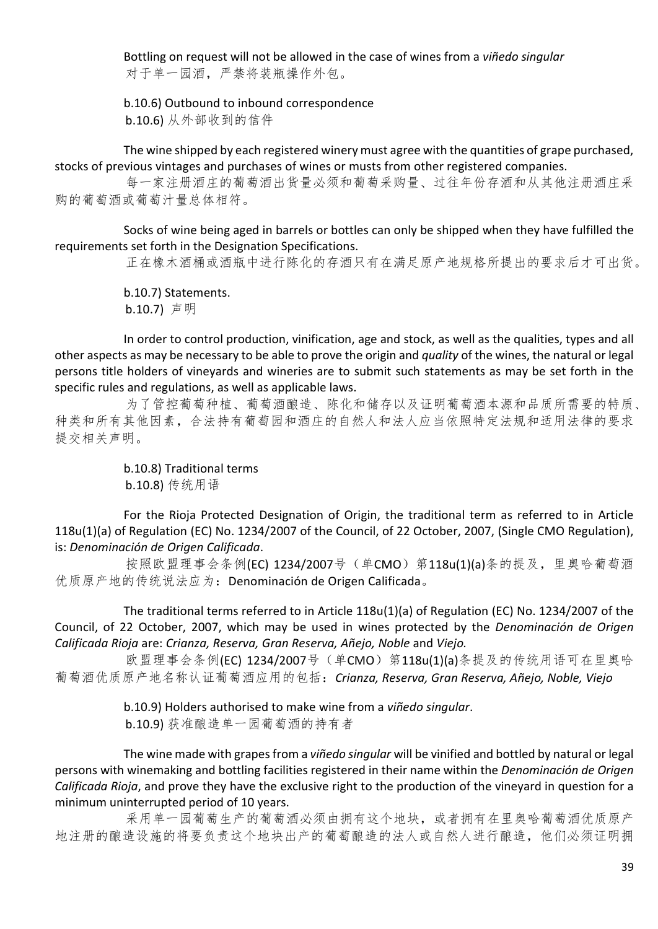Bottling on request will not be allowed in the case of wines from a *viñedo singular* 对于单一园酒,严禁将装瓶操作外包。

b.10.6) Outbound to inbound correspondence b.10.6) 从外部收到的信件

The wine shipped by each registered winery must agree with the quantities of grape purchased, stocks of previous vintages and purchases of wines or musts from other registered companies.

每一家注册酒庄的葡萄酒出货量必须和葡萄采购量、过往年份存酒和从其他注册酒庄采 购的葡萄酒或葡萄汁量总体相符。

Socks of wine being aged in barrels or bottles can only be shipped when they have fulfilled the requirements set forth in the Designation Specifications.

正在橡木酒桶或酒瓶中进行陈化的存酒只有在满足原产地规格所提出的要求后才可出货。

b.10.7) Statements. b.10.7) 声明

In order to control production, vinification, age and stock, as well as the qualities, types and all other aspects as may be necessary to be able to prove the origin and *quality* of the wines, the natural or legal persons title holders of vineyards and wineries are to submit such statements as may be set forth in the specific rules and regulations, as well as applicable laws.

为了管控葡萄种植、葡萄酒酿造、陈化和储存以及证明葡萄酒本源和品质所需要的特质、 种类和所有其他因素,合法持有葡萄园和酒庄的自然人和法人应当依照特定法规和适用法律的要求 提交相关声明。

> b.10.8) Traditional terms b.10.8) 传统用语

For the Rioja Protected Designation of Origin, the traditional term as referred to in Article 118u(1)(a) of Regulation (EC) No. 1234/2007 of the Council, of 22 October, 2007, (Single CMO Regulation), is: *Denominación de Origen Calificada*.

按照欧盟理事会条例(EC) 1234/2007号(单CMO) 第118u(1)(a)条的提及, 里奥哈葡萄酒 优质原产地的传统说法应为:Denominación de Origen Calificada。

The traditional terms referred to in Article 118u(1)(a) of Regulation (EC) No. 1234/2007 of the Council, of 22 October, 2007, which may be used in wines protected by the *Denominación de Origen Calificada Rioja* are: *Crianza, Reserva, Gran Reserva, Añejo, Noble* and *Viejo.*

欧盟理事会条例(EC) 1234/2007号 (单CMO) 第118u(1)(a)条提及的传统用语可在里奥哈 葡萄酒优质原产地名称认证葡萄酒应用的包括:*Crianza, Reserva, Gran Reserva, Añejo, Noble, Viejo*

> b.10.9) Holders authorised to make wine from a *viñedo singular*. b.10.9) 获准酿造单一园葡萄酒的持有者

The wine made with grapes from a *viñedo singular* will be vinified and bottled by natural or legal persons with winemaking and bottling facilities registered in their name within the *Denominación de Origen Calificada Rioja*, and prove they have the exclusive right to the production of the vineyard in question for a minimum uninterrupted period of 10 years.

采用单一园葡萄生产的葡萄酒必须由拥有这个地块,或者拥有在里奥哈葡萄酒优质原产 地注册的酿造设施的将要负责这个地块出产的葡萄酿造的法人或自然人进行酿造,他们必须证明拥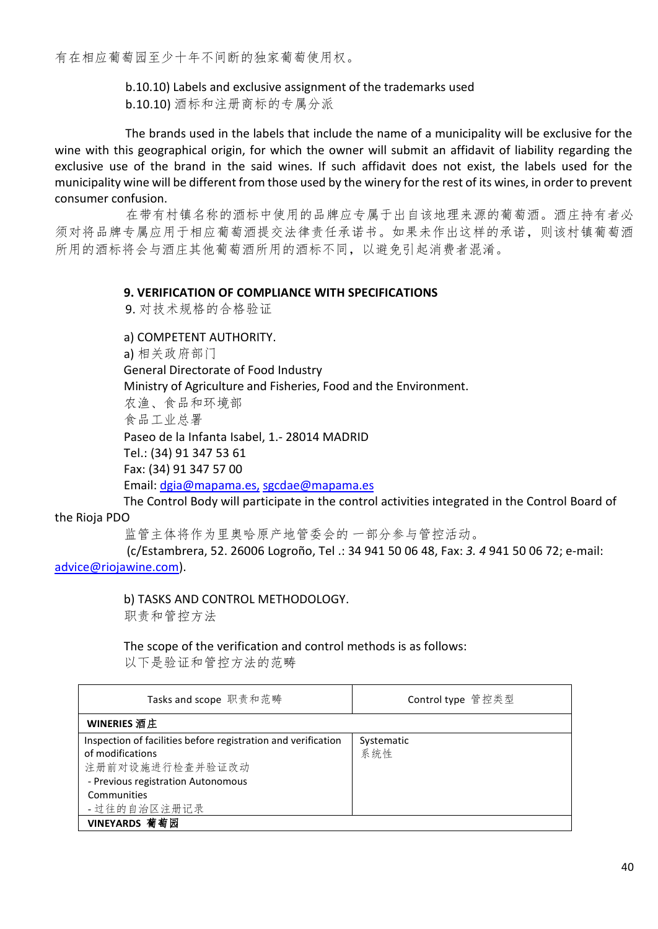有在相应葡萄园至少十年不间断的独家葡萄使用权。

b.10.10) Labels and exclusive assignment of the trademarks used b.10.10) 酒标和注册商标的专属分派

The brands used in the labels that include the name of a municipality will be exclusive for the wine with this geographical origin, for which the owner will submit an affidavit of liability regarding the exclusive use of the brand in the said wines. If such affidavit does not exist, the labels used for the municipality wine will be different from those used by the winery for the rest of its wines, in order to prevent consumer confusion.

在带有村镇名称的酒标中使用的品牌应专属于出自该地理来源的葡萄酒。酒庄持有者必 须对将品牌专属应用于相应葡萄酒提交法律责任承诺书。如果未作出这样的承诺,则该村镇葡萄酒 所用的酒标将会与酒庄其他葡萄酒所用的酒标不同,以避免引起消费者混淆。

#### **9. VERIFICATION OF COMPLIANCE WITH SPECIFICATIONS**

9. 对技术规格的合格验证

a) COMPETENT AUTHORITY.

a) 相关政府部门

General Directorate of Food Industry

Ministry of Agriculture and Fisheries, Food and the Environment.

农渔、食品和环境部

食品工业总署

Paseo de la Infanta Isabel, 1.- 28014 MADRID

Tel.: (34) 91 347 53 61

Fax: (34) 91 347 57 00

Email[: dgia@mapama.es,](mailto:%20dgia@mapama.es,) [sgcdae@mapama.es](mailto:%20sgcdae@marm.es)

The Control Body will participate in the control activities integrated in the Control Board of the Rioja PDO

监管主体将作为里奥哈原产地管委会的 一部分参与管控活动。

(c/Estambrera, 52. 26006 Logroño, Tel .: 34 941 50 06 48, Fax: *3. 4* 941 50 06 72; e-mail: [advice@riojawine.com\).](mailto:consejo@riojawine.com)

b) TASKS AND CONTROL METHODOLOGY.

职责和管控方法

The scope of the verification and control methods is as follows:

以下是验证和管控方法的范畴

| Tasks and scope 职责和范畴                                         | Control type 管控类型 |
|---------------------------------------------------------------|-------------------|
| WINERIES 酒庄                                                   |                   |
| Inspection of facilities before registration and verification | Systematic        |
| of modifications                                              | 系统性               |
| 注册前对设施进行检查并验证改动                                               |                   |
| - Previous registration Autonomous                            |                   |
| Communities                                                   |                   |
| - 过往的自治区注册记录                                                  |                   |
| VINEYARDS 葡萄园                                                 |                   |